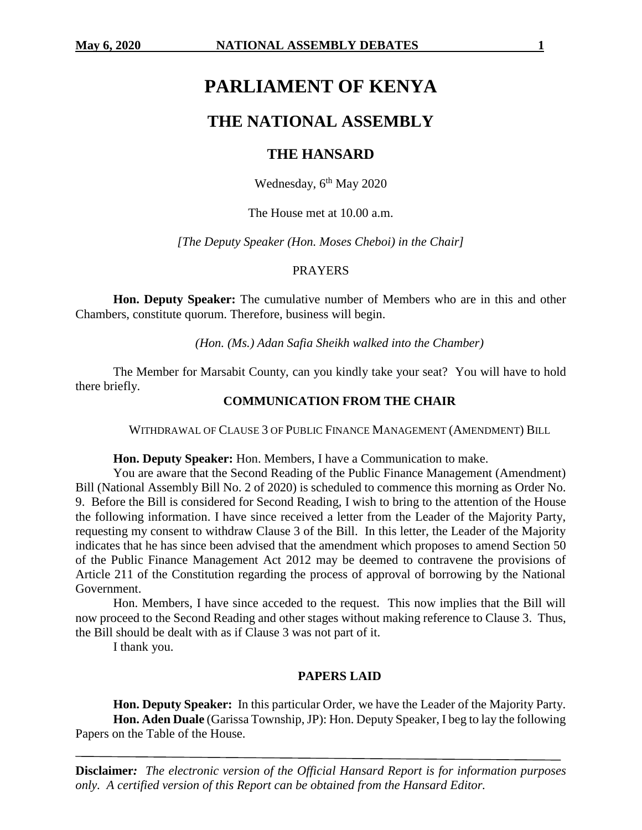# **PARLIAMENT OF KENYA**

# **THE NATIONAL ASSEMBLY**

# **THE HANSARD**

Wednesday,  $6<sup>th</sup>$  May 2020

The House met at 10.00 a.m.

*[The Deputy Speaker (Hon. Moses Cheboi) in the Chair]*

#### PRAYERS

**Hon. Deputy Speaker:** The cumulative number of Members who are in this and other Chambers, constitute quorum. Therefore, business will begin.

*(Hon. (Ms.) Adan Safia Sheikh walked into the Chamber)*

The Member for Marsabit County, can you kindly take your seat? You will have to hold there briefly.

#### **COMMUNICATION FROM THE CHAIR**

WITHDRAWAL OF CLAUSE 3 OF PUBLIC FINANCE MANAGEMENT (AMENDMENT) BILL

**Hon. Deputy Speaker:** Hon. Members, I have a Communication to make.

You are aware that the Second Reading of the Public Finance Management (Amendment) Bill (National Assembly Bill No. 2 of 2020) is scheduled to commence this morning as Order No. 9. Before the Bill is considered for Second Reading, I wish to bring to the attention of the House the following information. I have since received a letter from the Leader of the Majority Party, requesting my consent to withdraw Clause 3 of the Bill. In this letter, the Leader of the Majority indicates that he has since been advised that the amendment which proposes to amend Section 50 of the Public Finance Management Act 2012 may be deemed to contravene the provisions of Article 211 of the Constitution regarding the process of approval of borrowing by the National Government.

Hon. Members, I have since acceded to the request. This now implies that the Bill will now proceed to the Second Reading and other stages without making reference to Clause 3. Thus, the Bill should be dealt with as if Clause 3 was not part of it.

I thank you.

#### **PAPERS LAID**

**Hon. Deputy Speaker:** In this particular Order, we have the Leader of the Majority Party. **Hon. Aden Duale** (Garissa Township, JP): Hon. Deputy Speaker, I beg to lay the following Papers on the Table of the House.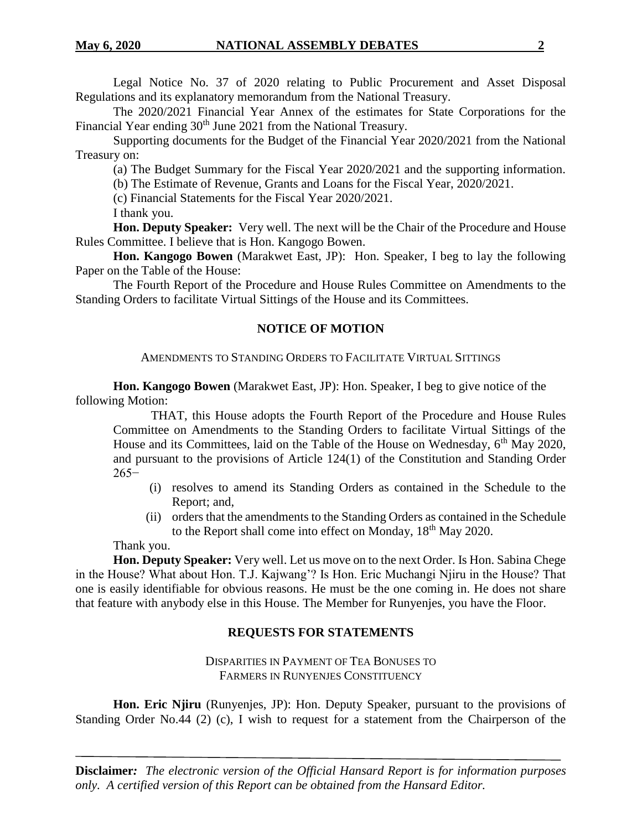Legal Notice No. 37 of 2020 relating to Public Procurement and Asset Disposal Regulations and its explanatory memorandum from the National Treasury.

The 2020/2021 Financial Year Annex of the estimates for State Corporations for the Financial Year ending 30<sup>th</sup> June 2021 from the National Treasury.

Supporting documents for the Budget of the Financial Year 2020/2021 from the National Treasury on:

(a) The Budget Summary for the Fiscal Year 2020/2021 and the supporting information.

(b) The Estimate of Revenue, Grants and Loans for the Fiscal Year, 2020/2021.

(c) Financial Statements for the Fiscal Year 2020/2021.

I thank you.

**Hon. Deputy Speaker:** Very well. The next will be the Chair of the Procedure and House Rules Committee. I believe that is Hon. Kangogo Bowen.

**Hon. Kangogo Bowen** (Marakwet East, JP): Hon. Speaker, I beg to lay the following Paper on the Table of the House:

The Fourth Report of the Procedure and House Rules Committee on Amendments to the Standing Orders to facilitate Virtual Sittings of the House and its Committees.

### **NOTICE OF MOTION**

#### AMENDMENTS TO STANDING ORDERS TO FACILITATE VIRTUAL SITTINGS

**Hon. Kangogo Bowen** (Marakwet East, JP): Hon. Speaker, I beg to give notice of the following Motion:

THAT, this House adopts the Fourth Report of the Procedure and House Rules Committee on Amendments to the Standing Orders to facilitate Virtual Sittings of the House and its Committees, laid on the Table of the House on Wednesday,  $6<sup>th</sup>$  May 2020, and pursuant to the provisions of Article 124(1) of the Constitution and Standing Order 265−

- (i) resolves to amend its Standing Orders as contained in the Schedule to the Report; and,
- (ii) orders that the amendments to the Standing Orders as contained in the Schedule to the Report shall come into effect on Monday, 18<sup>th</sup> May 2020.

Thank you.

**Hon. Deputy Speaker:** Very well. Let us move on to the next Order. Is Hon. Sabina Chege in the House? What about Hon. T.J. Kajwang'? Is Hon. Eric Muchangi Njiru in the House? That one is easily identifiable for obvious reasons. He must be the one coming in. He does not share that feature with anybody else in this House. The Member for Runyenjes, you have the Floor.

### **REQUESTS FOR STATEMENTS**

DISPARITIES IN PAYMENT OF TEA BONUSES TO FARMERS IN RUNYENJES CONSTITUENCY

**Hon. Eric Njiru** (Runyenjes, JP): Hon. Deputy Speaker, pursuant to the provisions of Standing Order No.44 (2) (c), I wish to request for a statement from the Chairperson of the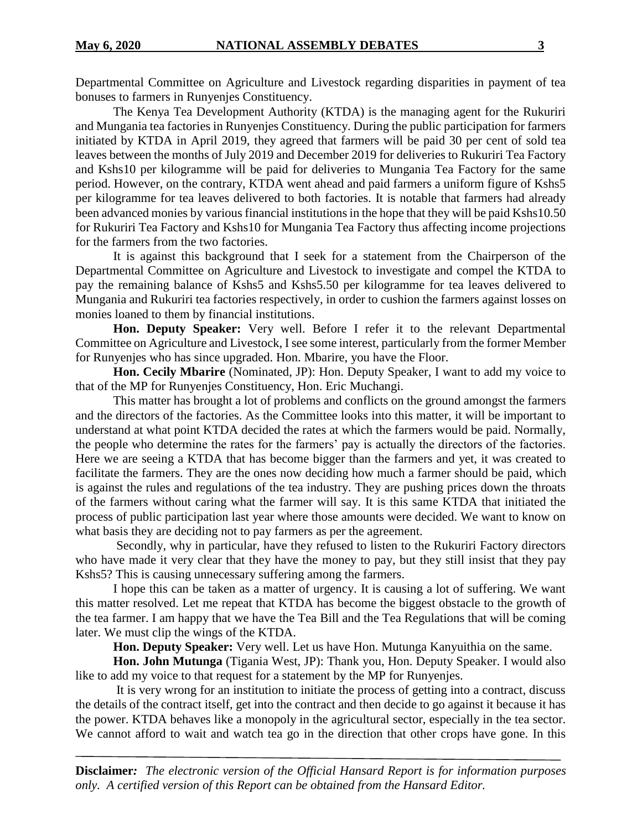Departmental Committee on Agriculture and Livestock regarding disparities in payment of tea bonuses to farmers in Runyenjes Constituency.

The Kenya Tea Development Authority (KTDA) is the managing agent for the Rukuriri and Mungania tea factories in Runyenjes Constituency. During the public participation for farmers initiated by KTDA in April 2019, they agreed that farmers will be paid 30 per cent of sold tea leaves between the months of July 2019 and December 2019 for deliveries to Rukuriri Tea Factory and Kshs10 per kilogramme will be paid for deliveries to Mungania Tea Factory for the same period. However, on the contrary, KTDA went ahead and paid farmers a uniform figure of Kshs5 per kilogramme for tea leaves delivered to both factories. It is notable that farmers had already been advanced monies by various financial institutions in the hope that they will be paid Kshs10.50 for Rukuriri Tea Factory and Kshs10 for Mungania Tea Factory thus affecting income projections for the farmers from the two factories.

It is against this background that I seek for a statement from the Chairperson of the Departmental Committee on Agriculture and Livestock to investigate and compel the KTDA to pay the remaining balance of Kshs5 and Kshs5.50 per kilogramme for tea leaves delivered to Mungania and Rukuriri tea factories respectively, in order to cushion the farmers against losses on monies loaned to them by financial institutions.

**Hon. Deputy Speaker:** Very well. Before I refer it to the relevant Departmental Committee on Agriculture and Livestock, I see some interest, particularly from the former Member for Runyenjes who has since upgraded. Hon. Mbarire, you have the Floor.

**Hon. Cecily Mbarire** (Nominated, JP): Hon. Deputy Speaker, I want to add my voice to that of the MP for Runyenjes Constituency, Hon. Eric Muchangi.

This matter has brought a lot of problems and conflicts on the ground amongst the farmers and the directors of the factories. As the Committee looks into this matter, it will be important to understand at what point KTDA decided the rates at which the farmers would be paid. Normally, the people who determine the rates for the farmers' pay is actually the directors of the factories. Here we are seeing a KTDA that has become bigger than the farmers and yet, it was created to facilitate the farmers. They are the ones now deciding how much a farmer should be paid, which is against the rules and regulations of the tea industry. They are pushing prices down the throats of the farmers without caring what the farmer will say. It is this same KTDA that initiated the process of public participation last year where those amounts were decided. We want to know on what basis they are deciding not to pay farmers as per the agreement.

Secondly, why in particular, have they refused to listen to the Rukuriri Factory directors who have made it very clear that they have the money to pay, but they still insist that they pay Kshs5? This is causing unnecessary suffering among the farmers.

I hope this can be taken as a matter of urgency. It is causing a lot of suffering. We want this matter resolved. Let me repeat that KTDA has become the biggest obstacle to the growth of the tea farmer. I am happy that we have the Tea Bill and the Tea Regulations that will be coming later. We must clip the wings of the KTDA.

**Hon. Deputy Speaker:** Very well. Let us have Hon. Mutunga Kanyuithia on the same.

**Hon. John Mutunga** (Tigania West, JP): Thank you, Hon. Deputy Speaker. I would also like to add my voice to that request for a statement by the MP for Runyenjes.

It is very wrong for an institution to initiate the process of getting into a contract, discuss the details of the contract itself, get into the contract and then decide to go against it because it has the power. KTDA behaves like a monopoly in the agricultural sector, especially in the tea sector. We cannot afford to wait and watch tea go in the direction that other crops have gone. In this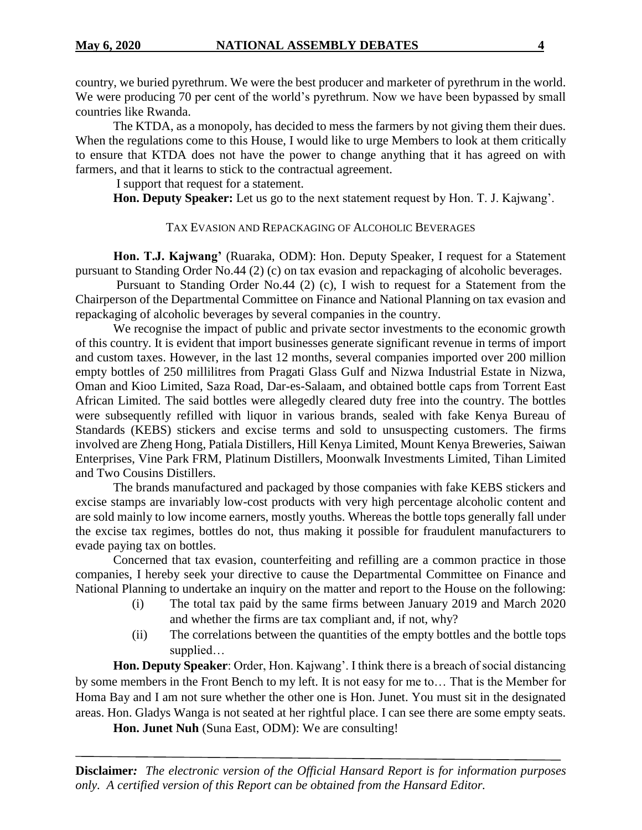country, we buried pyrethrum. We were the best producer and marketer of pyrethrum in the world. We were producing 70 per cent of the world's pyrethrum. Now we have been bypassed by small countries like Rwanda.

The KTDA, as a monopoly, has decided to mess the farmers by not giving them their dues. When the regulations come to this House, I would like to urge Members to look at them critically to ensure that KTDA does not have the power to change anything that it has agreed on with farmers, and that it learns to stick to the contractual agreement.

I support that request for a statement.

**Hon. Deputy Speaker:** Let us go to the next statement request by Hon. T. J. Kajwang'.

#### TAX EVASION AND REPACKAGING OF ALCOHOLIC BEVERAGES

**Hon. T.J. Kajwang'** (Ruaraka, ODM): Hon. Deputy Speaker, I request for a Statement pursuant to Standing Order No.44 (2) (c) on tax evasion and repackaging of alcoholic beverages.

Pursuant to Standing Order No.44 (2) (c), I wish to request for a Statement from the Chairperson of the Departmental Committee on Finance and National Planning on tax evasion and repackaging of alcoholic beverages by several companies in the country.

We recognise the impact of public and private sector investments to the economic growth of this country. It is evident that import businesses generate significant revenue in terms of import and custom taxes. However, in the last 12 months, several companies imported over 200 million empty bottles of 250 millilitres from Pragati Glass Gulf and Nizwa Industrial Estate in Nizwa, Oman and Kioo Limited, Saza Road, Dar-es-Salaam, and obtained bottle caps from Torrent East African Limited. The said bottles were allegedly cleared duty free into the country. The bottles were subsequently refilled with liquor in various brands, sealed with fake Kenya Bureau of Standards (KEBS) stickers and excise terms and sold to unsuspecting customers. The firms involved are Zheng Hong, Patiala Distillers, Hill Kenya Limited, Mount Kenya Breweries, Saiwan Enterprises, Vine Park FRM, Platinum Distillers, Moonwalk Investments Limited, Tihan Limited and Two Cousins Distillers.

The brands manufactured and packaged by those companies with fake KEBS stickers and excise stamps are invariably low-cost products with very high percentage alcoholic content and are sold mainly to low income earners, mostly youths. Whereas the bottle tops generally fall under the excise tax regimes, bottles do not, thus making it possible for fraudulent manufacturers to evade paying tax on bottles.

Concerned that tax evasion, counterfeiting and refilling are a common practice in those companies, I hereby seek your directive to cause the Departmental Committee on Finance and National Planning to undertake an inquiry on the matter and report to the House on the following:

- (i) The total tax paid by the same firms between January 2019 and March 2020 and whether the firms are tax compliant and, if not, why?
- (ii) The correlations between the quantities of the empty bottles and the bottle tops supplied…

**Hon. Deputy Speaker**: Order, Hon. Kajwang'. I think there is a breach of social distancing by some members in the Front Bench to my left. It is not easy for me to… That is the Member for Homa Bay and I am not sure whether the other one is Hon. Junet. You must sit in the designated areas. Hon. Gladys Wanga is not seated at her rightful place. I can see there are some empty seats.

**Hon. Junet Nuh** (Suna East, ODM): We are consulting!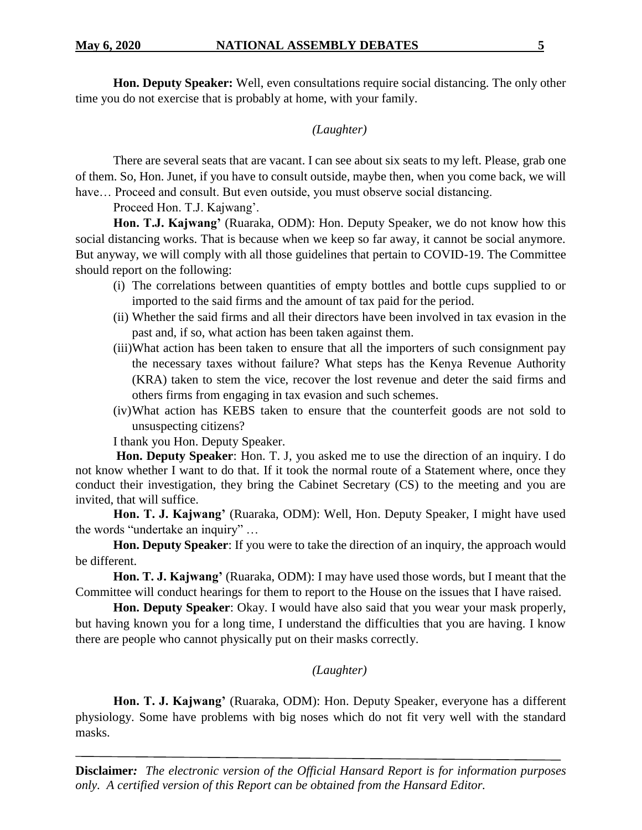**Hon. Deputy Speaker:** Well, even consultations require social distancing. The only other time you do not exercise that is probably at home, with your family.

## *(Laughter)*

There are several seats that are vacant. I can see about six seats to my left. Please, grab one of them. So, Hon. Junet, if you have to consult outside, maybe then, when you come back, we will have... Proceed and consult. But even outside, you must observe social distancing.

Proceed Hon. T.J. Kajwang'.

**Hon. T.J. Kajwang'** (Ruaraka, ODM): Hon. Deputy Speaker, we do not know how this social distancing works. That is because when we keep so far away, it cannot be social anymore. But anyway, we will comply with all those guidelines that pertain to COVID-19. The Committee should report on the following:

- (i) The correlations between quantities of empty bottles and bottle cups supplied to or imported to the said firms and the amount of tax paid for the period.
- (ii) Whether the said firms and all their directors have been involved in tax evasion in the past and, if so, what action has been taken against them.
- (iii)What action has been taken to ensure that all the importers of such consignment pay the necessary taxes without failure? What steps has the Kenya Revenue Authority (KRA) taken to stem the vice, recover the lost revenue and deter the said firms and others firms from engaging in tax evasion and such schemes.
- (iv)What action has KEBS taken to ensure that the counterfeit goods are not sold to unsuspecting citizens?

I thank you Hon. Deputy Speaker.

**Hon. Deputy Speaker**: Hon. T. J, you asked me to use the direction of an inquiry. I do not know whether I want to do that. If it took the normal route of a Statement where, once they conduct their investigation, they bring the Cabinet Secretary (CS) to the meeting and you are invited, that will suffice.

**Hon. T. J. Kajwang'** (Ruaraka, ODM): Well, Hon. Deputy Speaker, I might have used the words "undertake an inquiry" …

**Hon. Deputy Speaker**: If you were to take the direction of an inquiry, the approach would be different.

**Hon. T. J. Kajwang'** (Ruaraka, ODM): I may have used those words, but I meant that the Committee will conduct hearings for them to report to the House on the issues that I have raised.

**Hon. Deputy Speaker**: Okay. I would have also said that you wear your mask properly, but having known you for a long time, I understand the difficulties that you are having. I know there are people who cannot physically put on their masks correctly.

### *(Laughter)*

**Hon. T. J. Kajwang'** (Ruaraka, ODM): Hon. Deputy Speaker, everyone has a different physiology. Some have problems with big noses which do not fit very well with the standard masks.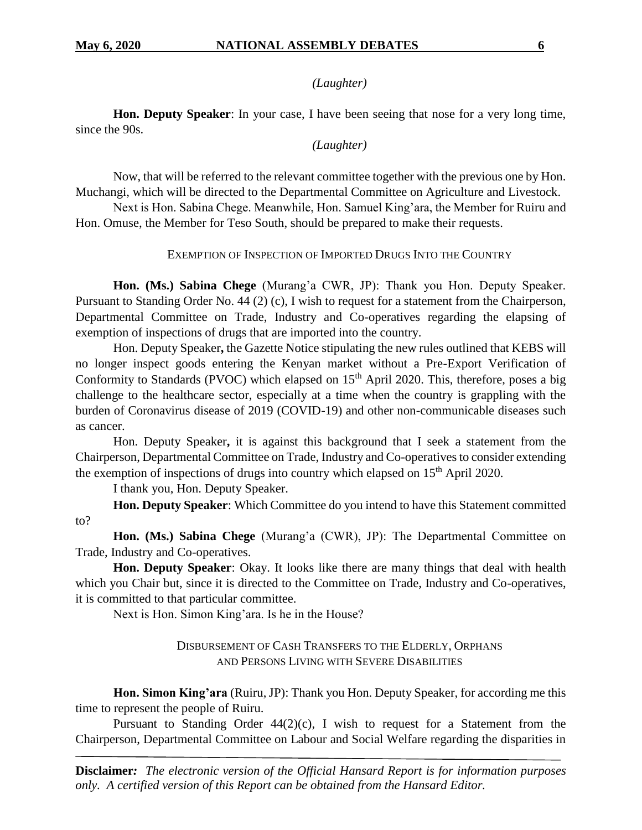#### *(Laughter)*

**Hon. Deputy Speaker**: In your case, I have been seeing that nose for a very long time, since the 90s.

#### *(Laughter)*

Now, that will be referred to the relevant committee together with the previous one by Hon. Muchangi, which will be directed to the Departmental Committee on Agriculture and Livestock.

Next is Hon. Sabina Chege. Meanwhile, Hon. Samuel King'ara, the Member for Ruiru and Hon. Omuse, the Member for Teso South, should be prepared to make their requests.

#### EXEMPTION OF INSPECTION OF IMPORTED DRUGS INTO THE COUNTRY

**Hon. (Ms.) Sabina Chege** (Murang'a CWR, JP): Thank you Hon. Deputy Speaker. Pursuant to Standing Order No. 44 (2) (c), I wish to request for a statement from the Chairperson, Departmental Committee on Trade, Industry and Co-operatives regarding the elapsing of exemption of inspections of drugs that are imported into the country.

Hon. Deputy Speaker**,** the Gazette Notice stipulating the new rules outlined that KEBS will no longer inspect goods entering the Kenyan market without a Pre-Export Verification of Conformity to Standards (PVOC) which elapsed on  $15<sup>th</sup>$  April 2020. This, therefore, poses a big challenge to the healthcare sector, especially at a time when the country is grappling with the burden of Coronavirus disease of 2019 (COVID-19) and other non-communicable diseases such as cancer.

Hon. Deputy Speaker**,** it is against this background that I seek a statement from the Chairperson, Departmental Committee on Trade, Industry and Co-operatives to consider extending the exemption of inspections of drugs into country which elapsed on 15<sup>th</sup> April 2020.

I thank you, Hon. Deputy Speaker.

**Hon. Deputy Speaker**: Which Committee do you intend to have this Statement committed to?

**Hon. (Ms.) Sabina Chege** (Murang'a (CWR), JP): The Departmental Committee on Trade, Industry and Co-operatives.

**Hon. Deputy Speaker**: Okay. It looks like there are many things that deal with health which you Chair but, since it is directed to the Committee on Trade, Industry and Co-operatives, it is committed to that particular committee.

Next is Hon. Simon King'ara. Is he in the House?

#### DISBURSEMENT OF CASH TRANSFERS TO THE ELDERLY, ORPHANS AND PERSONS LIVING WITH SEVERE DISABILITIES

**Hon. Simon King'ara** (Ruiru, JP): Thank you Hon. Deputy Speaker, for according me this time to represent the people of Ruiru.

Pursuant to Standing Order  $44(2)(c)$ , I wish to request for a Statement from the Chairperson, Departmental Committee on Labour and Social Welfare regarding the disparities in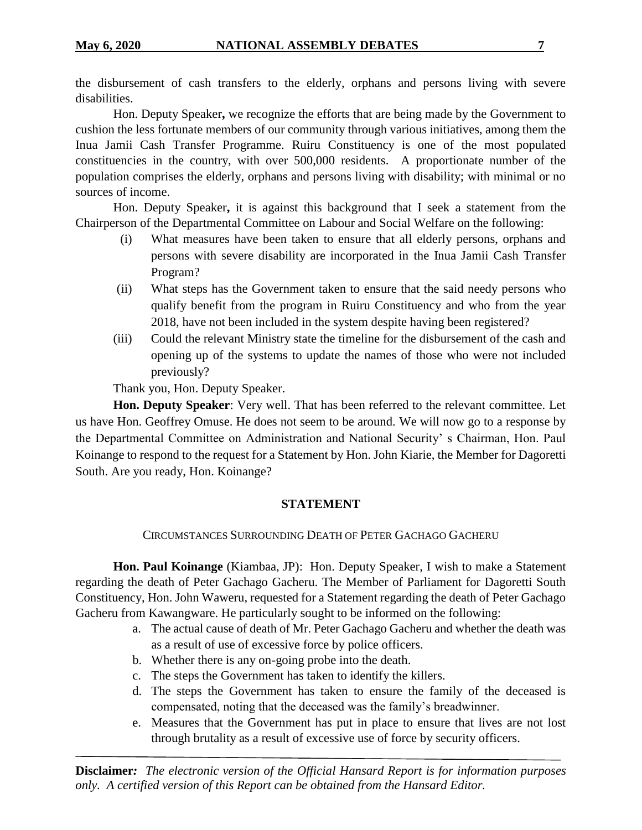the disbursement of cash transfers to the elderly, orphans and persons living with severe disabilities.

Hon. Deputy Speaker**,** we recognize the efforts that are being made by the Government to cushion the less fortunate members of our community through various initiatives, among them the Inua Jamii Cash Transfer Programme. Ruiru Constituency is one of the most populated constituencies in the country, with over 500,000 residents. A proportionate number of the population comprises the elderly, orphans and persons living with disability; with minimal or no sources of income.

Hon. Deputy Speaker**,** it is against this background that I seek a statement from the Chairperson of the Departmental Committee on Labour and Social Welfare on the following:

- (i) What measures have been taken to ensure that all elderly persons, orphans and persons with severe disability are incorporated in the Inua Jamii Cash Transfer Program?
- (ii) What steps has the Government taken to ensure that the said needy persons who qualify benefit from the program in Ruiru Constituency and who from the year 2018, have not been included in the system despite having been registered?
- (iii) Could the relevant Ministry state the timeline for the disbursement of the cash and opening up of the systems to update the names of those who were not included previously?

Thank you, Hon. Deputy Speaker.

**Hon. Deputy Speaker**: Very well. That has been referred to the relevant committee. Let us have Hon. Geoffrey Omuse. He does not seem to be around. We will now go to a response by the Departmental Committee on Administration and National Security' s Chairman, Hon. Paul Koinange to respond to the request for a Statement by Hon. John Kiarie, the Member for Dagoretti South. Are you ready, Hon. Koinange?

### **STATEMENT**

CIRCUMSTANCES SURROUNDING DEATH OF PETER GACHAGO GACHERU

**Hon. Paul Koinange** (Kiambaa, JP): Hon. Deputy Speaker, I wish to make a Statement regarding the death of Peter Gachago Gacheru. The Member of Parliament for Dagoretti South Constituency, Hon. John Waweru, requested for a Statement regarding the death of Peter Gachago Gacheru from Kawangware. He particularly sought to be informed on the following:

- a. The actual cause of death of Mr. Peter Gachago Gacheru and whether the death was as a result of use of excessive force by police officers.
- b. Whether there is any on-going probe into the death.
- c. The steps the Government has taken to identify the killers.
- d. The steps the Government has taken to ensure the family of the deceased is compensated, noting that the deceased was the family's breadwinner.
- e. Measures that the Government has put in place to ensure that lives are not lost through brutality as a result of excessive use of force by security officers.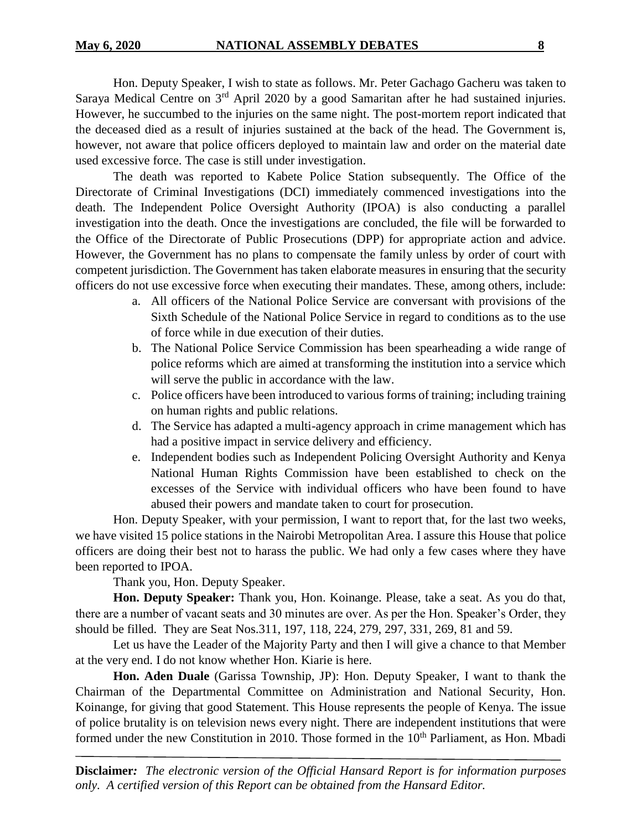Hon. Deputy Speaker, I wish to state as follows. Mr. Peter Gachago Gacheru was taken to Saraya Medical Centre on 3<sup>rd</sup> April 2020 by a good Samaritan after he had sustained injuries. However, he succumbed to the injuries on the same night. The post-mortem report indicated that the deceased died as a result of injuries sustained at the back of the head. The Government is, however, not aware that police officers deployed to maintain law and order on the material date used excessive force. The case is still under investigation.

The death was reported to Kabete Police Station subsequently. The Office of the Directorate of Criminal Investigations (DCI) immediately commenced investigations into the death. The Independent Police Oversight Authority (IPOA) is also conducting a parallel investigation into the death. Once the investigations are concluded, the file will be forwarded to the Office of the Directorate of Public Prosecutions (DPP) for appropriate action and advice. However, the Government has no plans to compensate the family unless by order of court with competent jurisdiction. The Government has taken elaborate measures in ensuring that the security officers do not use excessive force when executing their mandates. These, among others, include:

- a. All officers of the National Police Service are conversant with provisions of the Sixth Schedule of the National Police Service in regard to conditions as to the use of force while in due execution of their duties.
- b. The National Police Service Commission has been spearheading a wide range of police reforms which are aimed at transforming the institution into a service which will serve the public in accordance with the law.
- c. Police officers have been introduced to various forms of training; including training on human rights and public relations.
- d. The Service has adapted a multi-agency approach in crime management which has had a positive impact in service delivery and efficiency.
- e. Independent bodies such as Independent Policing Oversight Authority and Kenya National Human Rights Commission have been established to check on the excesses of the Service with individual officers who have been found to have abused their powers and mandate taken to court for prosecution.

Hon. Deputy Speaker, with your permission, I want to report that, for the last two weeks, we have visited 15 police stations in the Nairobi Metropolitan Area. I assure this House that police officers are doing their best not to harass the public. We had only a few cases where they have been reported to IPOA.

Thank you, Hon. Deputy Speaker.

**Hon. Deputy Speaker:** Thank you, Hon. Koinange. Please, take a seat. As you do that, there are a number of vacant seats and 30 minutes are over. As per the Hon. Speaker's Order, they should be filled. They are Seat Nos.311, 197, 118, 224, 279, 297, 331, 269, 81 and 59.

Let us have the Leader of the Majority Party and then I will give a chance to that Member at the very end. I do not know whether Hon. Kiarie is here.

**Hon. Aden Duale** (Garissa Township, JP): Hon. Deputy Speaker, I want to thank the Chairman of the Departmental Committee on Administration and National Security, Hon. Koinange, for giving that good Statement. This House represents the people of Kenya. The issue of police brutality is on television news every night. There are independent institutions that were formed under the new Constitution in 2010. Those formed in the 10<sup>th</sup> Parliament, as Hon. Mbadi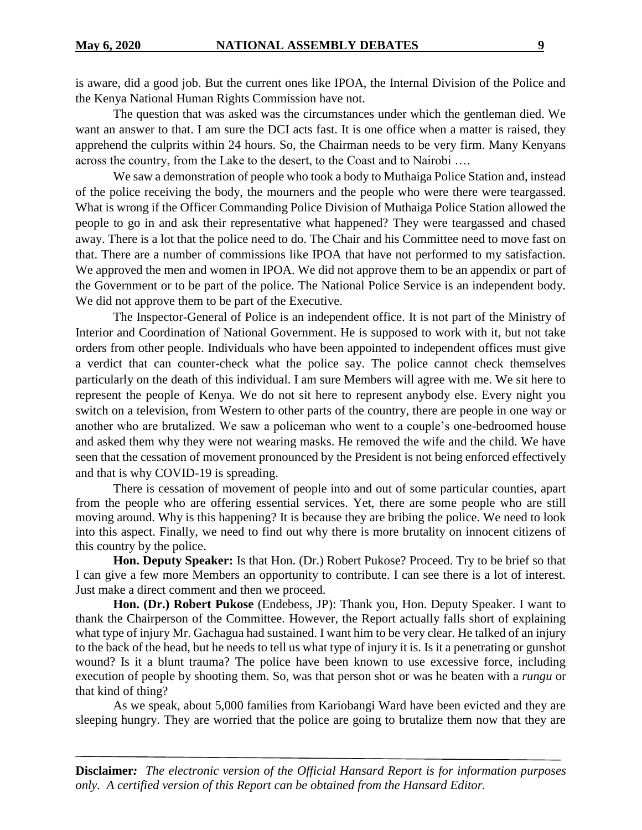is aware, did a good job. But the current ones like IPOA, the Internal Division of the Police and the Kenya National Human Rights Commission have not.

The question that was asked was the circumstances under which the gentleman died. We want an answer to that. I am sure the DCI acts fast. It is one office when a matter is raised, they apprehend the culprits within 24 hours. So, the Chairman needs to be very firm. Many Kenyans across the country, from the Lake to the desert, to the Coast and to Nairobi ….

We saw a demonstration of people who took a body to Muthaiga Police Station and, instead of the police receiving the body, the mourners and the people who were there were teargassed. What is wrong if the Officer Commanding Police Division of Muthaiga Police Station allowed the people to go in and ask their representative what happened? They were teargassed and chased away. There is a lot that the police need to do. The Chair and his Committee need to move fast on that. There are a number of commissions like IPOA that have not performed to my satisfaction. We approved the men and women in IPOA. We did not approve them to be an appendix or part of the Government or to be part of the police. The National Police Service is an independent body. We did not approve them to be part of the Executive.

The Inspector-General of Police is an independent office. It is not part of the Ministry of Interior and Coordination of National Government. He is supposed to work with it, but not take orders from other people. Individuals who have been appointed to independent offices must give a verdict that can counter-check what the police say. The police cannot check themselves particularly on the death of this individual. I am sure Members will agree with me. We sit here to represent the people of Kenya. We do not sit here to represent anybody else. Every night you switch on a television, from Western to other parts of the country, there are people in one way or another who are brutalized. We saw a policeman who went to a couple's one-bedroomed house and asked them why they were not wearing masks. He removed the wife and the child. We have seen that the cessation of movement pronounced by the President is not being enforced effectively and that is why COVID-19 is spreading.

There is cessation of movement of people into and out of some particular counties, apart from the people who are offering essential services. Yet, there are some people who are still moving around. Why is this happening? It is because they are bribing the police. We need to look into this aspect. Finally, we need to find out why there is more brutality on innocent citizens of this country by the police.

**Hon. Deputy Speaker:** Is that Hon. (Dr.) Robert Pukose? Proceed. Try to be brief so that I can give a few more Members an opportunity to contribute. I can see there is a lot of interest. Just make a direct comment and then we proceed.

**Hon. (Dr.) Robert Pukose** (Endebess, JP): Thank you, Hon. Deputy Speaker. I want to thank the Chairperson of the Committee. However, the Report actually falls short of explaining what type of injury Mr. Gachagua had sustained. I want him to be very clear. He talked of an injury to the back of the head, but he needs to tell us what type of injury it is. Is it a penetrating or gunshot wound? Is it a blunt trauma? The police have been known to use excessive force, including execution of people by shooting them. So, was that person shot or was he beaten with a *rungu* or that kind of thing?

As we speak, about 5,000 families from Kariobangi Ward have been evicted and they are sleeping hungry. They are worried that the police are going to brutalize them now that they are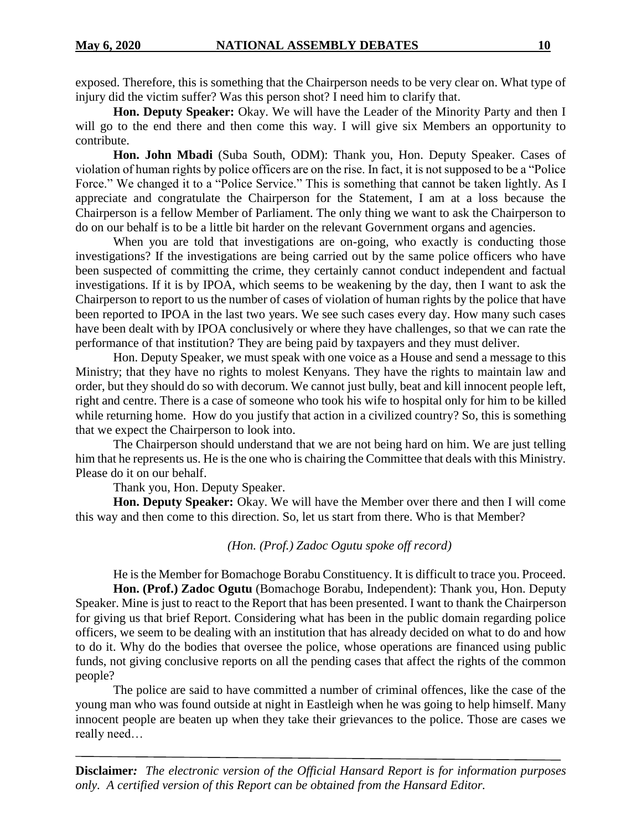exposed. Therefore, this is something that the Chairperson needs to be very clear on. What type of injury did the victim suffer? Was this person shot? I need him to clarify that.

**Hon. Deputy Speaker:** Okay. We will have the Leader of the Minority Party and then I will go to the end there and then come this way. I will give six Members an opportunity to contribute.

**Hon. John Mbadi** (Suba South, ODM): Thank you, Hon. Deputy Speaker. Cases of violation of human rights by police officers are on the rise. In fact, it is not supposed to be a "Police Force." We changed it to a "Police Service." This is something that cannot be taken lightly. As I appreciate and congratulate the Chairperson for the Statement, I am at a loss because the Chairperson is a fellow Member of Parliament. The only thing we want to ask the Chairperson to do on our behalf is to be a little bit harder on the relevant Government organs and agencies.

When you are told that investigations are on-going, who exactly is conducting those investigations? If the investigations are being carried out by the same police officers who have been suspected of committing the crime, they certainly cannot conduct independent and factual investigations. If it is by IPOA, which seems to be weakening by the day, then I want to ask the Chairperson to report to us the number of cases of violation of human rights by the police that have been reported to IPOA in the last two years. We see such cases every day. How many such cases have been dealt with by IPOA conclusively or where they have challenges, so that we can rate the performance of that institution? They are being paid by taxpayers and they must deliver.

Hon. Deputy Speaker, we must speak with one voice as a House and send a message to this Ministry; that they have no rights to molest Kenyans. They have the rights to maintain law and order, but they should do so with decorum. We cannot just bully, beat and kill innocent people left, right and centre. There is a case of someone who took his wife to hospital only for him to be killed while returning home. How do you justify that action in a civilized country? So, this is something that we expect the Chairperson to look into.

The Chairperson should understand that we are not being hard on him. We are just telling him that he represents us. He is the one who is chairing the Committee that deals with this Ministry. Please do it on our behalf.

Thank you, Hon. Deputy Speaker.

**Hon. Deputy Speaker:** Okay. We will have the Member over there and then I will come this way and then come to this direction. So, let us start from there. Who is that Member?

*(Hon. (Prof.) Zadoc Ogutu spoke off record)*

He is the Member for Bomachoge Borabu Constituency. It is difficult to trace you. Proceed. **Hon. (Prof.) Zadoc Ogutu** (Bomachoge Borabu, Independent): Thank you, Hon. Deputy Speaker. Mine is just to react to the Report that has been presented. I want to thank the Chairperson for giving us that brief Report. Considering what has been in the public domain regarding police officers, we seem to be dealing with an institution that has already decided on what to do and how to do it. Why do the bodies that oversee the police, whose operations are financed using public funds, not giving conclusive reports on all the pending cases that affect the rights of the common people?

The police are said to have committed a number of criminal offences, like the case of the young man who was found outside at night in Eastleigh when he was going to help himself. Many innocent people are beaten up when they take their grievances to the police. Those are cases we really need…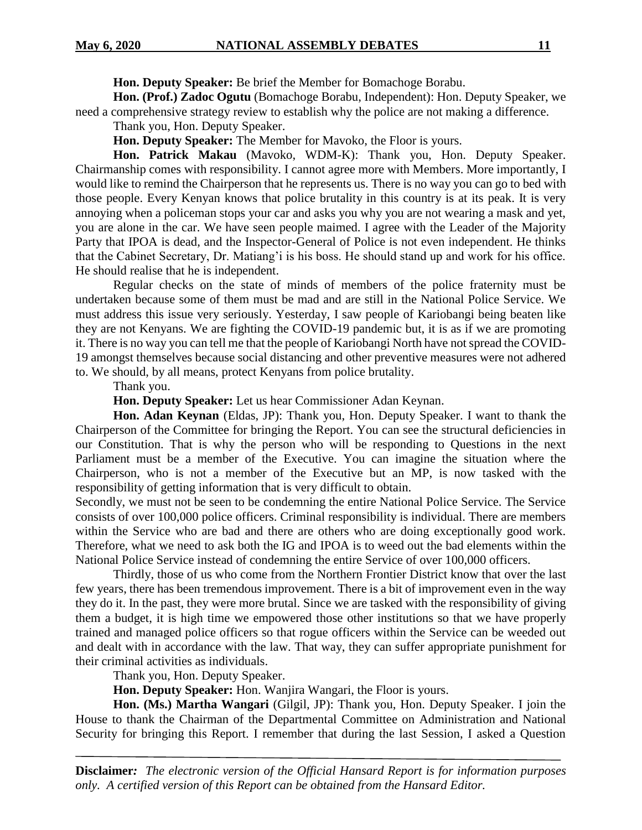**Hon. Deputy Speaker:** Be brief the Member for Bomachoge Borabu.

**Hon. (Prof.) Zadoc Ogutu** (Bomachoge Borabu, Independent): Hon. Deputy Speaker, we need a comprehensive strategy review to establish why the police are not making a difference.

Thank you, Hon. Deputy Speaker.

**Hon. Deputy Speaker:** The Member for Mavoko, the Floor is yours.

**Hon. Patrick Makau** (Mavoko, WDM-K): Thank you, Hon. Deputy Speaker. Chairmanship comes with responsibility. I cannot agree more with Members. More importantly, I would like to remind the Chairperson that he represents us. There is no way you can go to bed with those people. Every Kenyan knows that police brutality in this country is at its peak. It is very annoying when a policeman stops your car and asks you why you are not wearing a mask and yet, you are alone in the car. We have seen people maimed. I agree with the Leader of the Majority Party that IPOA is dead, and the Inspector-General of Police is not even independent. He thinks that the Cabinet Secretary, Dr. Matiang'i is his boss. He should stand up and work for his office. He should realise that he is independent.

Regular checks on the state of minds of members of the police fraternity must be undertaken because some of them must be mad and are still in the National Police Service. We must address this issue very seriously. Yesterday, I saw people of Kariobangi being beaten like they are not Kenyans. We are fighting the COVID-19 pandemic but, it is as if we are promoting it. There is no way you can tell me that the people of Kariobangi North have not spread the COVID-19 amongst themselves because social distancing and other preventive measures were not adhered to. We should, by all means, protect Kenyans from police brutality.

Thank you.

**Hon. Deputy Speaker:** Let us hear Commissioner Adan Keynan.

**Hon. Adan Keynan** (Eldas, JP): Thank you, Hon. Deputy Speaker. I want to thank the Chairperson of the Committee for bringing the Report. You can see the structural deficiencies in our Constitution. That is why the person who will be responding to Questions in the next Parliament must be a member of the Executive. You can imagine the situation where the Chairperson, who is not a member of the Executive but an MP, is now tasked with the responsibility of getting information that is very difficult to obtain.

Secondly, we must not be seen to be condemning the entire National Police Service. The Service consists of over 100,000 police officers. Criminal responsibility is individual. There are members within the Service who are bad and there are others who are doing exceptionally good work. Therefore, what we need to ask both the IG and IPOA is to weed out the bad elements within the National Police Service instead of condemning the entire Service of over 100,000 officers.

Thirdly, those of us who come from the Northern Frontier District know that over the last few years, there has been tremendous improvement. There is a bit of improvement even in the way they do it. In the past, they were more brutal. Since we are tasked with the responsibility of giving them a budget, it is high time we empowered those other institutions so that we have properly trained and managed police officers so that rogue officers within the Service can be weeded out and dealt with in accordance with the law. That way, they can suffer appropriate punishment for their criminal activities as individuals.

Thank you, Hon. Deputy Speaker.

**Hon. Deputy Speaker:** Hon. Wanjira Wangari, the Floor is yours.

**Hon. (Ms.) Martha Wangari** (Gilgil, JP): Thank you, Hon. Deputy Speaker. I join the House to thank the Chairman of the Departmental Committee on Administration and National Security for bringing this Report. I remember that during the last Session, I asked a Question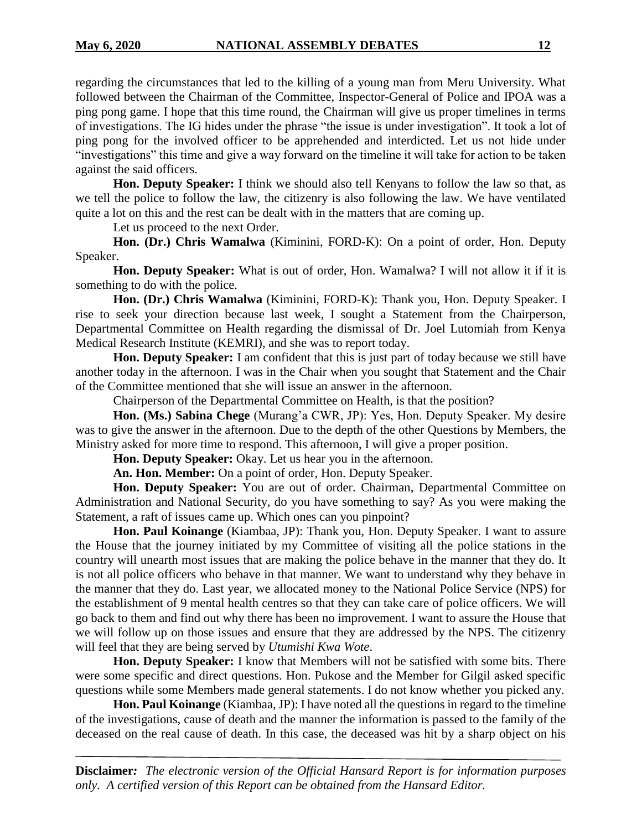regarding the circumstances that led to the killing of a young man from Meru University. What followed between the Chairman of the Committee, Inspector-General of Police and IPOA was a ping pong game. I hope that this time round, the Chairman will give us proper timelines in terms of investigations. The IG hides under the phrase "the issue is under investigation". It took a lot of ping pong for the involved officer to be apprehended and interdicted. Let us not hide under "investigations" this time and give a way forward on the timeline it will take for action to be taken against the said officers.

**Hon. Deputy Speaker:** I think we should also tell Kenyans to follow the law so that, as we tell the police to follow the law, the citizenry is also following the law. We have ventilated quite a lot on this and the rest can be dealt with in the matters that are coming up.

Let us proceed to the next Order.

**Hon. (Dr.) Chris Wamalwa** (Kiminini, FORD-K): On a point of order, Hon. Deputy Speaker.

**Hon. Deputy Speaker:** What is out of order, Hon. Wamalwa? I will not allow it if it is something to do with the police.

**Hon. (Dr.) Chris Wamalwa** (Kiminini, FORD-K): Thank you, Hon. Deputy Speaker. I rise to seek your direction because last week, I sought a Statement from the Chairperson, Departmental Committee on Health regarding the dismissal of Dr. Joel Lutomiah from Kenya Medical Research Institute (KEMRI), and she was to report today.

**Hon. Deputy Speaker:** I am confident that this is just part of today because we still have another today in the afternoon. I was in the Chair when you sought that Statement and the Chair of the Committee mentioned that she will issue an answer in the afternoon.

Chairperson of the Departmental Committee on Health, is that the position?

**Hon. (Ms.) Sabina Chege** (Murang'a CWR, JP): Yes, Hon. Deputy Speaker. My desire was to give the answer in the afternoon. Due to the depth of the other Questions by Members, the Ministry asked for more time to respond. This afternoon, I will give a proper position.

**Hon. Deputy Speaker:** Okay. Let us hear you in the afternoon.

**An. Hon. Member:** On a point of order, Hon. Deputy Speaker.

**Hon. Deputy Speaker:** You are out of order. Chairman, Departmental Committee on Administration and National Security, do you have something to say? As you were making the Statement, a raft of issues came up. Which ones can you pinpoint?

**Hon. Paul Koinange** (Kiambaa, JP): Thank you, Hon. Deputy Speaker. I want to assure the House that the journey initiated by my Committee of visiting all the police stations in the country will unearth most issues that are making the police behave in the manner that they do. It is not all police officers who behave in that manner. We want to understand why they behave in the manner that they do. Last year, we allocated money to the National Police Service (NPS) for the establishment of 9 mental health centres so that they can take care of police officers. We will go back to them and find out why there has been no improvement. I want to assure the House that we will follow up on those issues and ensure that they are addressed by the NPS. The citizenry will feel that they are being served by *Utumishi Kwa Wote*.

**Hon. Deputy Speaker:** I know that Members will not be satisfied with some bits. There were some specific and direct questions. Hon. Pukose and the Member for Gilgil asked specific questions while some Members made general statements. I do not know whether you picked any.

**Hon. Paul Koinange** (Kiambaa, JP): I have noted all the questions in regard to the timeline of the investigations, cause of death and the manner the information is passed to the family of the deceased on the real cause of death. In this case, the deceased was hit by a sharp object on his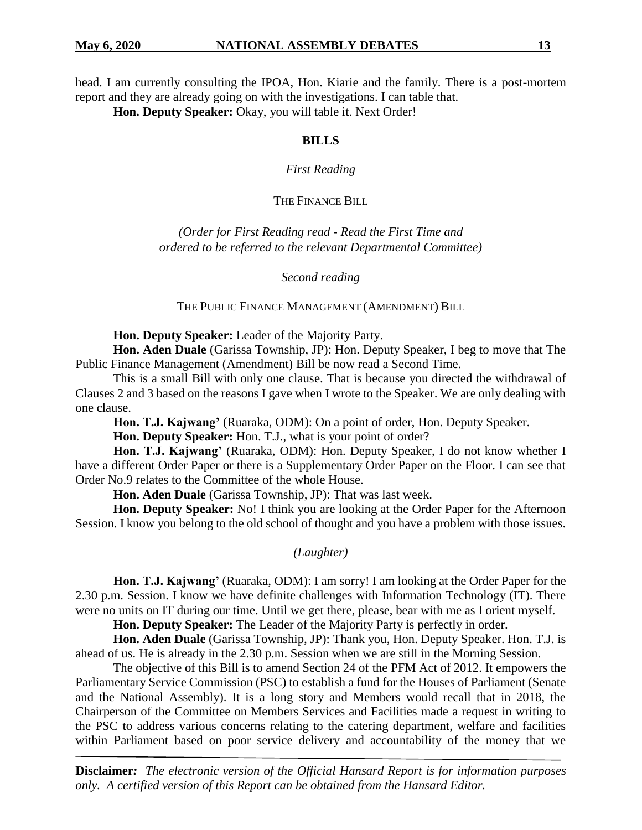head. I am currently consulting the IPOA, Hon. Kiarie and the family. There is a post-mortem report and they are already going on with the investigations. I can table that.

**Hon. Deputy Speaker:** Okay, you will table it. Next Order!

#### **BILLS**

*First Reading*

#### THE FINANCE BILL

*(Order for First Reading read - Read the First Time and ordered to be referred to the relevant Departmental Committee)*

*Second reading*

THE PUBLIC FINANCE MANAGEMENT (AMENDMENT) BILL

**Hon. Deputy Speaker:** Leader of the Majority Party.

**Hon. Aden Duale** (Garissa Township, JP): Hon. Deputy Speaker, I beg to move that The Public Finance Management (Amendment) Bill be now read a Second Time.

This is a small Bill with only one clause. That is because you directed the withdrawal of Clauses 2 and 3 based on the reasons I gave when I wrote to the Speaker. We are only dealing with one clause.

**Hon. T.J. Kajwang'** (Ruaraka, ODM): On a point of order, Hon. Deputy Speaker.

**Hon. Deputy Speaker:** Hon. T.J., what is your point of order?

**Hon. T.J. Kajwang'** (Ruaraka, ODM): Hon. Deputy Speaker, I do not know whether I have a different Order Paper or there is a Supplementary Order Paper on the Floor. I can see that Order No.9 relates to the Committee of the whole House.

**Hon. Aden Duale** (Garissa Township, JP): That was last week.

**Hon. Deputy Speaker:** No! I think you are looking at the Order Paper for the Afternoon Session. I know you belong to the old school of thought and you have a problem with those issues.

*(Laughter)*

**Hon. T.J. Kajwang'** (Ruaraka, ODM): I am sorry! I am looking at the Order Paper for the 2.30 p.m. Session. I know we have definite challenges with Information Technology (IT). There were no units on IT during our time. Until we get there, please, bear with me as I orient myself.

**Hon. Deputy Speaker:** The Leader of the Majority Party is perfectly in order.

**Hon. Aden Duale** (Garissa Township, JP): Thank you, Hon. Deputy Speaker. Hon. T.J. is ahead of us. He is already in the 2.30 p.m. Session when we are still in the Morning Session.

The objective of this Bill is to amend Section 24 of the PFM Act of 2012. It empowers the Parliamentary Service Commission (PSC) to establish a fund for the Houses of Parliament (Senate and the National Assembly). It is a long story and Members would recall that in 2018, the Chairperson of the Committee on Members Services and Facilities made a request in writing to the PSC to address various concerns relating to the catering department, welfare and facilities within Parliament based on poor service delivery and accountability of the money that we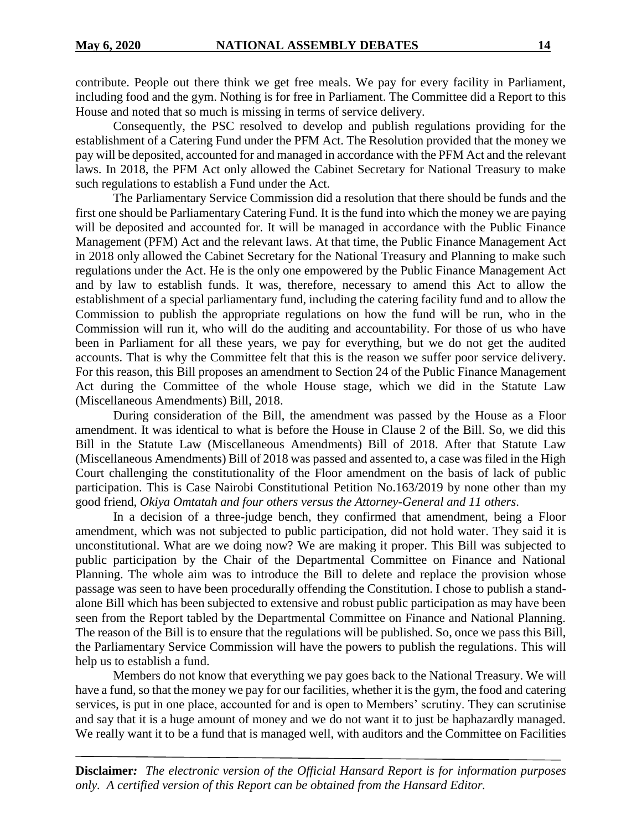contribute. People out there think we get free meals. We pay for every facility in Parliament, including food and the gym. Nothing is for free in Parliament. The Committee did a Report to this House and noted that so much is missing in terms of service delivery.

Consequently, the PSC resolved to develop and publish regulations providing for the establishment of a Catering Fund under the PFM Act. The Resolution provided that the money we pay will be deposited, accounted for and managed in accordance with the PFM Act and the relevant laws. In 2018, the PFM Act only allowed the Cabinet Secretary for National Treasury to make such regulations to establish a Fund under the Act.

The Parliamentary Service Commission did a resolution that there should be funds and the first one should be Parliamentary Catering Fund. It is the fund into which the money we are paying will be deposited and accounted for. It will be managed in accordance with the Public Finance Management (PFM) Act and the relevant laws. At that time, the Public Finance Management Act in 2018 only allowed the Cabinet Secretary for the National Treasury and Planning to make such regulations under the Act. He is the only one empowered by the Public Finance Management Act and by law to establish funds. It was, therefore, necessary to amend this Act to allow the establishment of a special parliamentary fund, including the catering facility fund and to allow the Commission to publish the appropriate regulations on how the fund will be run, who in the Commission will run it, who will do the auditing and accountability. For those of us who have been in Parliament for all these years, we pay for everything, but we do not get the audited accounts. That is why the Committee felt that this is the reason we suffer poor service delivery. For this reason, this Bill proposes an amendment to Section 24 of the Public Finance Management Act during the Committee of the whole House stage, which we did in the Statute Law (Miscellaneous Amendments) Bill, 2018.

During consideration of the Bill, the amendment was passed by the House as a Floor amendment. It was identical to what is before the House in Clause 2 of the Bill. So, we did this Bill in the Statute Law (Miscellaneous Amendments) Bill of 2018. After that Statute Law (Miscellaneous Amendments) Bill of 2018 was passed and assented to, a case was filed in the High Court challenging the constitutionality of the Floor amendment on the basis of lack of public participation. This is Case Nairobi Constitutional Petition No.163/2019 by none other than my good friend, *Okiya Omtatah and four others versus the Attorney-General and 11 others*.

In a decision of a three-judge bench, they confirmed that amendment, being a Floor amendment, which was not subjected to public participation, did not hold water. They said it is unconstitutional. What are we doing now? We are making it proper. This Bill was subjected to public participation by the Chair of the Departmental Committee on Finance and National Planning. The whole aim was to introduce the Bill to delete and replace the provision whose passage was seen to have been procedurally offending the Constitution. I chose to publish a standalone Bill which has been subjected to extensive and robust public participation as may have been seen from the Report tabled by the Departmental Committee on Finance and National Planning. The reason of the Bill is to ensure that the regulations will be published. So, once we pass this Bill, the Parliamentary Service Commission will have the powers to publish the regulations. This will help us to establish a fund.

Members do not know that everything we pay goes back to the National Treasury. We will have a fund, so that the money we pay for our facilities, whether it is the gym, the food and catering services, is put in one place, accounted for and is open to Members' scrutiny. They can scrutinise and say that it is a huge amount of money and we do not want it to just be haphazardly managed. We really want it to be a fund that is managed well, with auditors and the Committee on Facilities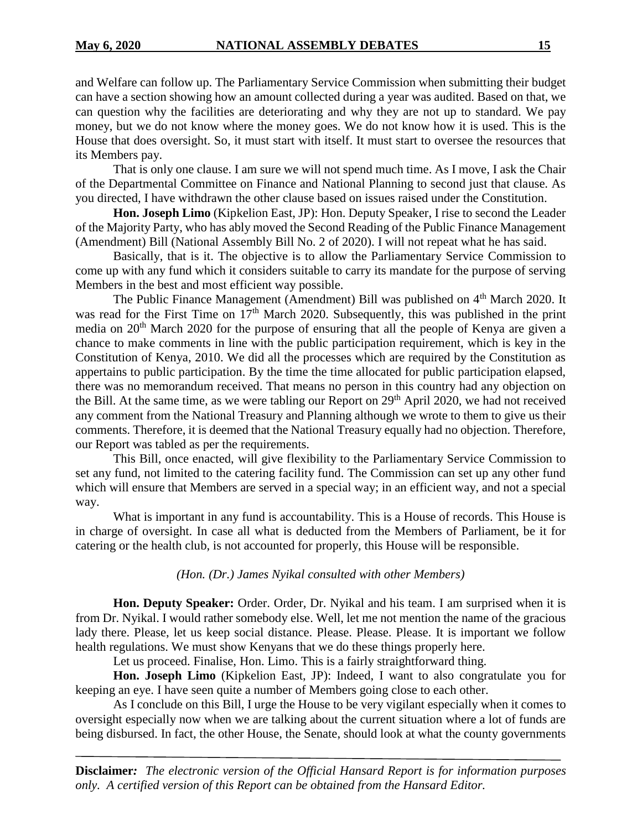and Welfare can follow up. The Parliamentary Service Commission when submitting their budget can have a section showing how an amount collected during a year was audited. Based on that, we can question why the facilities are deteriorating and why they are not up to standard. We pay money, but we do not know where the money goes. We do not know how it is used. This is the House that does oversight. So, it must start with itself. It must start to oversee the resources that its Members pay.

That is only one clause. I am sure we will not spend much time. As I move, I ask the Chair of the Departmental Committee on Finance and National Planning to second just that clause. As you directed, I have withdrawn the other clause based on issues raised under the Constitution.

**Hon. Joseph Limo** (Kipkelion East, JP): Hon. Deputy Speaker, I rise to second the Leader of the Majority Party, who has ably moved the Second Reading of the Public Finance Management (Amendment) Bill (National Assembly Bill No. 2 of 2020). I will not repeat what he has said.

Basically, that is it. The objective is to allow the Parliamentary Service Commission to come up with any fund which it considers suitable to carry its mandate for the purpose of serving Members in the best and most efficient way possible.

The Public Finance Management (Amendment) Bill was published on 4<sup>th</sup> March 2020. It was read for the First Time on  $17<sup>th</sup>$  March 2020. Subsequently, this was published in the print media on 20<sup>th</sup> March 2020 for the purpose of ensuring that all the people of Kenya are given a chance to make comments in line with the public participation requirement, which is key in the Constitution of Kenya, 2010. We did all the processes which are required by the Constitution as appertains to public participation. By the time the time allocated for public participation elapsed, there was no memorandum received. That means no person in this country had any objection on the Bill. At the same time, as we were tabling our Report on  $29<sup>th</sup>$  April 2020, we had not received any comment from the National Treasury and Planning although we wrote to them to give us their comments. Therefore, it is deemed that the National Treasury equally had no objection. Therefore, our Report was tabled as per the requirements.

This Bill, once enacted, will give flexibility to the Parliamentary Service Commission to set any fund, not limited to the catering facility fund. The Commission can set up any other fund which will ensure that Members are served in a special way; in an efficient way, and not a special way.

What is important in any fund is accountability. This is a House of records. This House is in charge of oversight. In case all what is deducted from the Members of Parliament, be it for catering or the health club, is not accounted for properly, this House will be responsible.

#### *(Hon. (Dr.) James Nyikal consulted with other Members)*

**Hon. Deputy Speaker:** Order. Order, Dr. Nyikal and his team. I am surprised when it is from Dr. Nyikal. I would rather somebody else. Well, let me not mention the name of the gracious lady there. Please, let us keep social distance. Please. Please. Please. It is important we follow health regulations. We must show Kenyans that we do these things properly here.

Let us proceed. Finalise, Hon. Limo. This is a fairly straightforward thing.

**Hon. Joseph Limo** (Kipkelion East, JP): Indeed, I want to also congratulate you for keeping an eye. I have seen quite a number of Members going close to each other.

As I conclude on this Bill, I urge the House to be very vigilant especially when it comes to oversight especially now when we are talking about the current situation where a lot of funds are being disbursed. In fact, the other House, the Senate, should look at what the county governments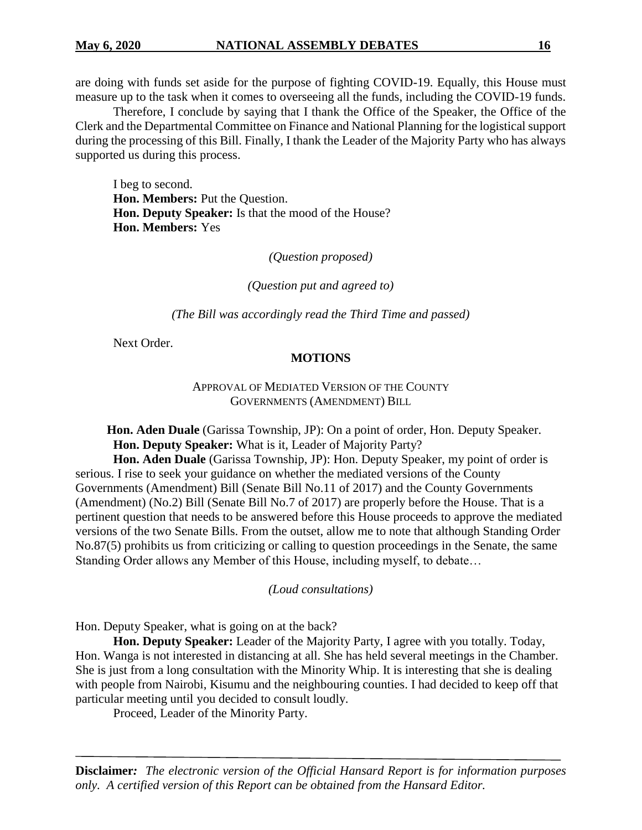are doing with funds set aside for the purpose of fighting COVID-19. Equally, this House must measure up to the task when it comes to overseeing all the funds, including the COVID-19 funds.

Therefore, I conclude by saying that I thank the Office of the Speaker, the Office of the Clerk and the Departmental Committee on Finance and National Planning for the logistical support during the processing of this Bill. Finally, I thank the Leader of the Majority Party who has always supported us during this process.

I beg to second. **Hon. Members:** Put the Question. **Hon. Deputy Speaker:** Is that the mood of the House? **Hon. Members:** Yes

*(Question proposed)*

*(Question put and agreed to)*

*(The Bill was accordingly read the Third Time and passed)*

Next Order.

#### **MOTIONS**

#### APPROVAL OF MEDIATED VERSION OF THE COUNTY GOVERNMENTS (AMENDMENT) BILL

 **Hon. Aden Duale** (Garissa Township, JP): On a point of order, Hon. Deputy Speaker. **Hon. Deputy Speaker:** What is it, Leader of Majority Party?

**Hon. Aden Duale** (Garissa Township, JP): Hon. Deputy Speaker, my point of order is serious. I rise to seek your guidance on whether the mediated versions of the County Governments (Amendment) Bill (Senate Bill No.11 of 2017) and the County Governments (Amendment) (No.2) Bill (Senate Bill No.7 of 2017) are properly before the House. That is a pertinent question that needs to be answered before this House proceeds to approve the mediated versions of the two Senate Bills. From the outset, allow me to note that although Standing Order No.87(5) prohibits us from criticizing or calling to question proceedings in the Senate, the same Standing Order allows any Member of this House, including myself, to debate…

*(Loud consultations)*

Hon. Deputy Speaker, what is going on at the back?

**Hon. Deputy Speaker:** Leader of the Majority Party, I agree with you totally. Today, Hon. Wanga is not interested in distancing at all. She has held several meetings in the Chamber. She is just from a long consultation with the Minority Whip. It is interesting that she is dealing with people from Nairobi, Kisumu and the neighbouring counties. I had decided to keep off that particular meeting until you decided to consult loudly.

Proceed, Leader of the Minority Party.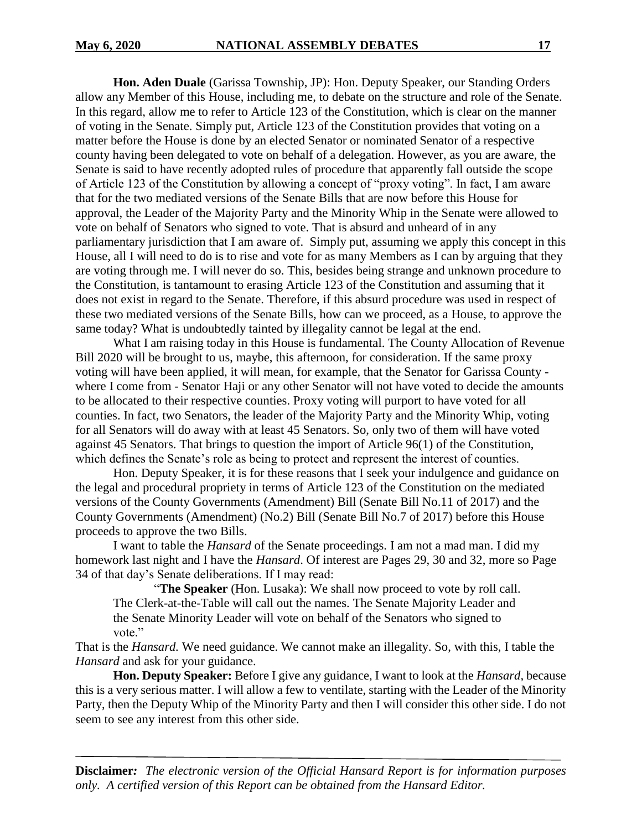**Hon. Aden Duale** (Garissa Township, JP): Hon. Deputy Speaker, our Standing Orders allow any Member of this House, including me, to debate on the structure and role of the Senate. In this regard, allow me to refer to Article 123 of the Constitution, which is clear on the manner of voting in the Senate. Simply put, Article 123 of the Constitution provides that voting on a matter before the House is done by an elected Senator or nominated Senator of a respective county having been delegated to vote on behalf of a delegation. However, as you are aware, the Senate is said to have recently adopted rules of procedure that apparently fall outside the scope of Article 123 of the Constitution by allowing a concept of "proxy voting". In fact, I am aware that for the two mediated versions of the Senate Bills that are now before this House for approval, the Leader of the Majority Party and the Minority Whip in the Senate were allowed to vote on behalf of Senators who signed to vote. That is absurd and unheard of in any parliamentary jurisdiction that I am aware of. Simply put, assuming we apply this concept in this House, all I will need to do is to rise and vote for as many Members as I can by arguing that they are voting through me. I will never do so. This, besides being strange and unknown procedure to the Constitution, is tantamount to erasing Article 123 of the Constitution and assuming that it does not exist in regard to the Senate. Therefore, if this absurd procedure was used in respect of these two mediated versions of the Senate Bills, how can we proceed, as a House, to approve the same today? What is undoubtedly tainted by illegality cannot be legal at the end.

What I am raising today in this House is fundamental. The County Allocation of Revenue Bill 2020 will be brought to us, maybe, this afternoon, for consideration. If the same proxy voting will have been applied, it will mean, for example, that the Senator for Garissa County where I come from - Senator Haji or any other Senator will not have voted to decide the amounts to be allocated to their respective counties. Proxy voting will purport to have voted for all counties. In fact, two Senators, the leader of the Majority Party and the Minority Whip, voting for all Senators will do away with at least 45 Senators. So, only two of them will have voted against 45 Senators. That brings to question the import of Article 96(1) of the Constitution, which defines the Senate's role as being to protect and represent the interest of counties.

Hon. Deputy Speaker, it is for these reasons that I seek your indulgence and guidance on the legal and procedural propriety in terms of Article 123 of the Constitution on the mediated versions of the County Governments (Amendment) Bill (Senate Bill No.11 of 2017) and the County Governments (Amendment) (No.2) Bill (Senate Bill No.7 of 2017) before this House proceeds to approve the two Bills.

I want to table the *Hansard* of the Senate proceedings. I am not a mad man. I did my homework last night and I have the *Hansard*. Of interest are Pages 29, 30 and 32, more so Page 34 of that day's Senate deliberations. If I may read:

"**The Speaker** (Hon. Lusaka): We shall now proceed to vote by roll call. The Clerk-at-the-Table will call out the names. The Senate Majority Leader and the Senate Minority Leader will vote on behalf of the Senators who signed to vote."

That is the *Hansard.* We need guidance. We cannot make an illegality. So, with this, I table the *Hansard* and ask for your guidance.

**Hon. Deputy Speaker:** Before I give any guidance, I want to look at the *Hansard,* because this is a very serious matter. I will allow a few to ventilate, starting with the Leader of the Minority Party, then the Deputy Whip of the Minority Party and then I will consider this other side. I do not seem to see any interest from this other side.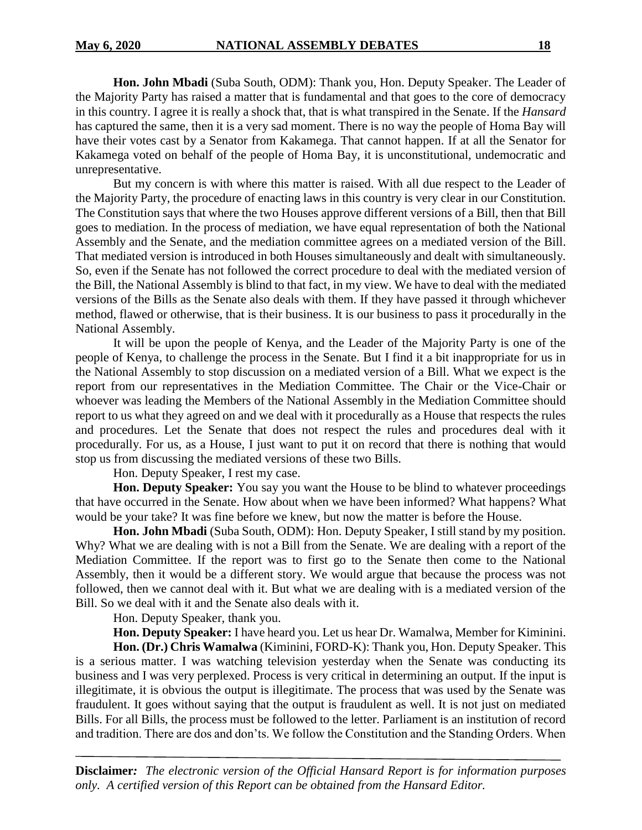**Hon. John Mbadi** (Suba South, ODM): Thank you, Hon. Deputy Speaker. The Leader of the Majority Party has raised a matter that is fundamental and that goes to the core of democracy in this country. I agree it is really a shock that, that is what transpired in the Senate. If the *Hansard* has captured the same, then it is a very sad moment. There is no way the people of Homa Bay will have their votes cast by a Senator from Kakamega. That cannot happen. If at all the Senator for Kakamega voted on behalf of the people of Homa Bay, it is unconstitutional, undemocratic and unrepresentative.

But my concern is with where this matter is raised. With all due respect to the Leader of the Majority Party, the procedure of enacting laws in this country is very clear in our Constitution. The Constitution says that where the two Houses approve different versions of a Bill, then that Bill goes to mediation. In the process of mediation, we have equal representation of both the National Assembly and the Senate, and the mediation committee agrees on a mediated version of the Bill. That mediated version is introduced in both Houses simultaneously and dealt with simultaneously. So, even if the Senate has not followed the correct procedure to deal with the mediated version of the Bill, the National Assembly is blind to that fact, in my view. We have to deal with the mediated versions of the Bills as the Senate also deals with them. If they have passed it through whichever method, flawed or otherwise, that is their business. It is our business to pass it procedurally in the National Assembly.

It will be upon the people of Kenya, and the Leader of the Majority Party is one of the people of Kenya, to challenge the process in the Senate. But I find it a bit inappropriate for us in the National Assembly to stop discussion on a mediated version of a Bill. What we expect is the report from our representatives in the Mediation Committee. The Chair or the Vice-Chair or whoever was leading the Members of the National Assembly in the Mediation Committee should report to us what they agreed on and we deal with it procedurally as a House that respects the rules and procedures. Let the Senate that does not respect the rules and procedures deal with it procedurally. For us, as a House, I just want to put it on record that there is nothing that would stop us from discussing the mediated versions of these two Bills.

Hon. Deputy Speaker, I rest my case.

**Hon. Deputy Speaker:** You say you want the House to be blind to whatever proceedings that have occurred in the Senate. How about when we have been informed? What happens? What would be your take? It was fine before we knew, but now the matter is before the House.

**Hon. John Mbadi** (Suba South, ODM): Hon. Deputy Speaker, I still stand by my position. Why? What we are dealing with is not a Bill from the Senate. We are dealing with a report of the Mediation Committee. If the report was to first go to the Senate then come to the National Assembly, then it would be a different story. We would argue that because the process was not followed, then we cannot deal with it. But what we are dealing with is a mediated version of the Bill. So we deal with it and the Senate also deals with it.

Hon. Deputy Speaker, thank you.

**Hon. Deputy Speaker:** I have heard you. Let us hear Dr. Wamalwa, Member for Kiminini.

**Hon. (Dr.) Chris Wamalwa** (Kiminini, FORD-K): Thank you, Hon. Deputy Speaker. This is a serious matter. I was watching television yesterday when the Senate was conducting its business and I was very perplexed. Process is very critical in determining an output. If the input is illegitimate, it is obvious the output is illegitimate. The process that was used by the Senate was fraudulent. It goes without saying that the output is fraudulent as well. It is not just on mediated Bills. For all Bills, the process must be followed to the letter. Parliament is an institution of record and tradition. There are dos and don'ts. We follow the Constitution and the Standing Orders. When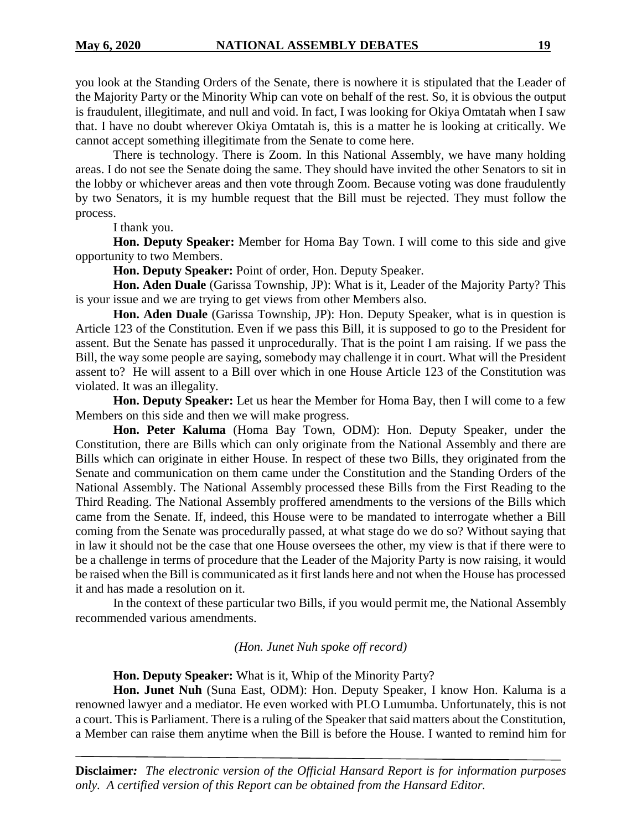you look at the Standing Orders of the Senate, there is nowhere it is stipulated that the Leader of the Majority Party or the Minority Whip can vote on behalf of the rest. So, it is obvious the output is fraudulent, illegitimate, and null and void. In fact, I was looking for Okiya Omtatah when I saw that. I have no doubt wherever Okiya Omtatah is, this is a matter he is looking at critically. We cannot accept something illegitimate from the Senate to come here.

There is technology. There is Zoom. In this National Assembly, we have many holding areas. I do not see the Senate doing the same. They should have invited the other Senators to sit in the lobby or whichever areas and then vote through Zoom. Because voting was done fraudulently by two Senators, it is my humble request that the Bill must be rejected. They must follow the process.

I thank you.

**Hon. Deputy Speaker:** Member for Homa Bay Town. I will come to this side and give opportunity to two Members.

**Hon. Deputy Speaker:** Point of order, Hon. Deputy Speaker.

**Hon. Aden Duale** (Garissa Township, JP): What is it, Leader of the Majority Party? This is your issue and we are trying to get views from other Members also.

**Hon. Aden Duale** (Garissa Township, JP): Hon. Deputy Speaker, what is in question is Article 123 of the Constitution. Even if we pass this Bill, it is supposed to go to the President for assent. But the Senate has passed it unprocedurally. That is the point I am raising. If we pass the Bill, the way some people are saying, somebody may challenge it in court. What will the President assent to? He will assent to a Bill over which in one House Article 123 of the Constitution was violated. It was an illegality.

**Hon. Deputy Speaker:** Let us hear the Member for Homa Bay, then I will come to a few Members on this side and then we will make progress.

**Hon. Peter Kaluma** (Homa Bay Town, ODM): Hon. Deputy Speaker, under the Constitution, there are Bills which can only originate from the National Assembly and there are Bills which can originate in either House. In respect of these two Bills, they originated from the Senate and communication on them came under the Constitution and the Standing Orders of the National Assembly. The National Assembly processed these Bills from the First Reading to the Third Reading. The National Assembly proffered amendments to the versions of the Bills which came from the Senate. If, indeed, this House were to be mandated to interrogate whether a Bill coming from the Senate was procedurally passed, at what stage do we do so? Without saying that in law it should not be the case that one House oversees the other, my view is that if there were to be a challenge in terms of procedure that the Leader of the Majority Party is now raising, it would be raised when the Bill is communicated as it first lands here and not when the House has processed it and has made a resolution on it.

In the context of these particular two Bills, if you would permit me, the National Assembly recommended various amendments.

*(Hon. Junet Nuh spoke off record)*

**Hon. Deputy Speaker:** What is it, Whip of the Minority Party?

**Hon. Junet Nuh** (Suna East, ODM): Hon. Deputy Speaker, I know Hon. Kaluma is a renowned lawyer and a mediator. He even worked with PLO Lumumba. Unfortunately, this is not a court. This is Parliament. There is a ruling of the Speaker that said matters about the Constitution, a Member can raise them anytime when the Bill is before the House. I wanted to remind him for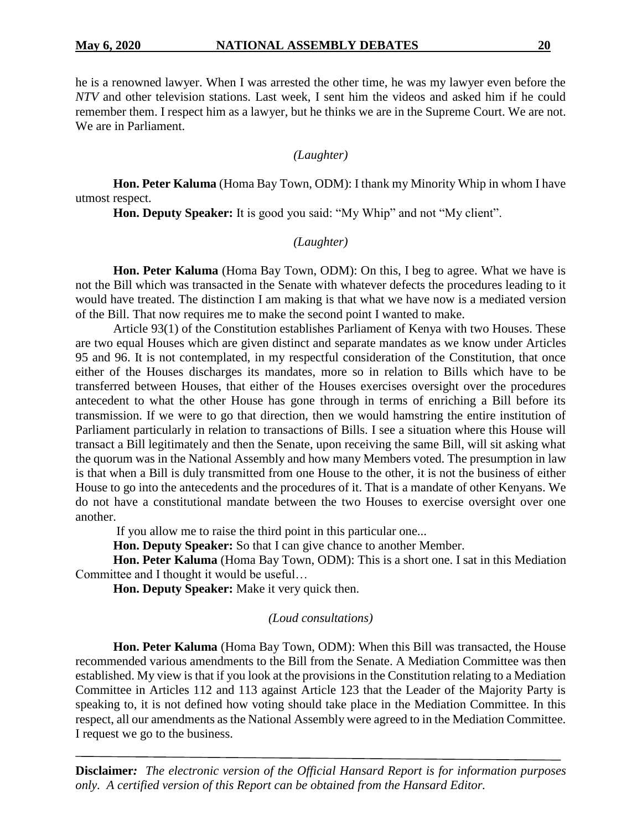he is a renowned lawyer. When I was arrested the other time, he was my lawyer even before the *NTV* and other television stations. Last week, I sent him the videos and asked him if he could remember them. I respect him as a lawyer, but he thinks we are in the Supreme Court. We are not. We are in Parliament.

#### *(Laughter)*

**Hon. Peter Kaluma** (Homa Bay Town, ODM): I thank my Minority Whip in whom I have utmost respect.

**Hon. Deputy Speaker:** It is good you said: "My Whip" and not "My client".

#### *(Laughter)*

**Hon. Peter Kaluma** (Homa Bay Town, ODM): On this, I beg to agree. What we have is not the Bill which was transacted in the Senate with whatever defects the procedures leading to it would have treated. The distinction I am making is that what we have now is a mediated version of the Bill. That now requires me to make the second point I wanted to make.

Article 93(1) of the Constitution establishes Parliament of Kenya with two Houses. These are two equal Houses which are given distinct and separate mandates as we know under Articles 95 and 96. It is not contemplated, in my respectful consideration of the Constitution, that once either of the Houses discharges its mandates, more so in relation to Bills which have to be transferred between Houses, that either of the Houses exercises oversight over the procedures antecedent to what the other House has gone through in terms of enriching a Bill before its transmission. If we were to go that direction, then we would hamstring the entire institution of Parliament particularly in relation to transactions of Bills. I see a situation where this House will transact a Bill legitimately and then the Senate, upon receiving the same Bill, will sit asking what the quorum was in the National Assembly and how many Members voted. The presumption in law is that when a Bill is duly transmitted from one House to the other, it is not the business of either House to go into the antecedents and the procedures of it. That is a mandate of other Kenyans. We do not have a constitutional mandate between the two Houses to exercise oversight over one another.

If you allow me to raise the third point in this particular one...

**Hon. Deputy Speaker:** So that I can give chance to another Member.

**Hon. Peter Kaluma** (Homa Bay Town, ODM): This is a short one. I sat in this Mediation Committee and I thought it would be useful…

**Hon. Deputy Speaker:** Make it very quick then.

#### *(Loud consultations)*

**Hon. Peter Kaluma** (Homa Bay Town, ODM): When this Bill was transacted, the House recommended various amendments to the Bill from the Senate. A Mediation Committee was then established. My view is that if you look at the provisions in the Constitution relating to a Mediation Committee in Articles 112 and 113 against Article 123 that the Leader of the Majority Party is speaking to, it is not defined how voting should take place in the Mediation Committee. In this respect, all our amendments as the National Assembly were agreed to in the Mediation Committee. I request we go to the business.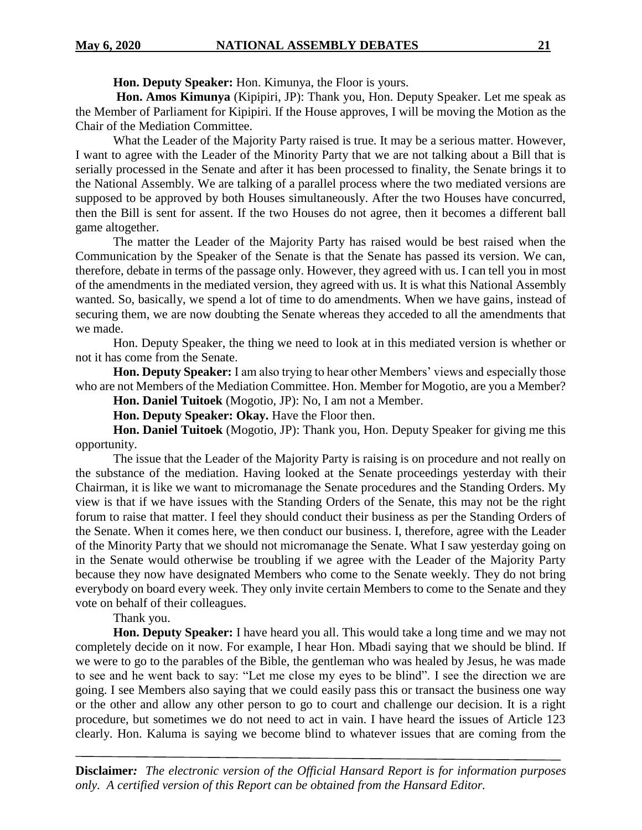**Hon. Deputy Speaker:** Hon. Kimunya, the Floor is yours.

**Hon. Amos Kimunya** (Kipipiri, JP): Thank you, Hon. Deputy Speaker. Let me speak as the Member of Parliament for Kipipiri. If the House approves, I will be moving the Motion as the Chair of the Mediation Committee.

What the Leader of the Majority Party raised is true. It may be a serious matter. However, I want to agree with the Leader of the Minority Party that we are not talking about a Bill that is serially processed in the Senate and after it has been processed to finality, the Senate brings it to the National Assembly. We are talking of a parallel process where the two mediated versions are supposed to be approved by both Houses simultaneously. After the two Houses have concurred, then the Bill is sent for assent. If the two Houses do not agree, then it becomes a different ball game altogether.

The matter the Leader of the Majority Party has raised would be best raised when the Communication by the Speaker of the Senate is that the Senate has passed its version. We can, therefore, debate in terms of the passage only. However, they agreed with us. I can tell you in most of the amendments in the mediated version, they agreed with us. It is what this National Assembly wanted. So, basically, we spend a lot of time to do amendments. When we have gains, instead of securing them, we are now doubting the Senate whereas they acceded to all the amendments that we made.

Hon. Deputy Speaker, the thing we need to look at in this mediated version is whether or not it has come from the Senate.

**Hon. Deputy Speaker:** I am also trying to hear other Members' views and especially those who are not Members of the Mediation Committee. Hon. Member for Mogotio, are you a Member?

**Hon. Daniel Tuitoek** (Mogotio, JP): No, I am not a Member.

**Hon. Deputy Speaker: Okay.** Have the Floor then.

**Hon. Daniel Tuitoek** (Mogotio, JP): Thank you, Hon. Deputy Speaker for giving me this opportunity.

The issue that the Leader of the Majority Party is raising is on procedure and not really on the substance of the mediation. Having looked at the Senate proceedings yesterday with their Chairman, it is like we want to micromanage the Senate procedures and the Standing Orders. My view is that if we have issues with the Standing Orders of the Senate, this may not be the right forum to raise that matter. I feel they should conduct their business as per the Standing Orders of the Senate. When it comes here, we then conduct our business. I, therefore, agree with the Leader of the Minority Party that we should not micromanage the Senate. What I saw yesterday going on in the Senate would otherwise be troubling if we agree with the Leader of the Majority Party because they now have designated Members who come to the Senate weekly. They do not bring everybody on board every week. They only invite certain Members to come to the Senate and they vote on behalf of their colleagues.

Thank you.

**Hon. Deputy Speaker:** I have heard you all. This would take a long time and we may not completely decide on it now. For example, I hear Hon. Mbadi saying that we should be blind. If we were to go to the parables of the Bible, the gentleman who was healed by Jesus, he was made to see and he went back to say: "Let me close my eyes to be blind". I see the direction we are going. I see Members also saying that we could easily pass this or transact the business one way or the other and allow any other person to go to court and challenge our decision. It is a right procedure, but sometimes we do not need to act in vain. I have heard the issues of Article 123 clearly. Hon. Kaluma is saying we become blind to whatever issues that are coming from the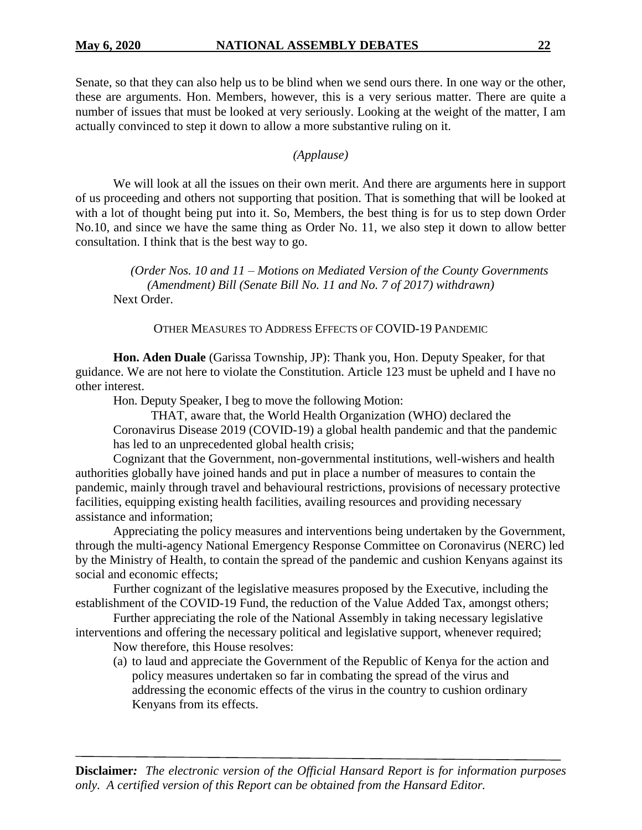Senate, so that they can also help us to be blind when we send ours there. In one way or the other, these are arguments. Hon. Members, however, this is a very serious matter. There are quite a number of issues that must be looked at very seriously. Looking at the weight of the matter, I am actually convinced to step it down to allow a more substantive ruling on it.

#### *(Applause)*

We will look at all the issues on their own merit. And there are arguments here in support of us proceeding and others not supporting that position. That is something that will be looked at with a lot of thought being put into it. So, Members, the best thing is for us to step down Order No.10, and since we have the same thing as Order No. 11, we also step it down to allow better consultation. I think that is the best way to go.

*(Order Nos. 10 and 11 – Motions on Mediated Version of the County Governments (Amendment) Bill (Senate Bill No. 11 and No. 7 of 2017) withdrawn)* Next Order.

OTHER MEASURES TO ADDRESS EFFECTS OF COVID-19 PANDEMIC

**Hon. Aden Duale** (Garissa Township, JP): Thank you, Hon. Deputy Speaker, for that guidance. We are not here to violate the Constitution. Article 123 must be upheld and I have no other interest.

Hon. Deputy Speaker, I beg to move the following Motion:

THAT, aware that, the World Health Organization (WHO) declared the Coronavirus Disease 2019 (COVID-19) a global health pandemic and that the pandemic has led to an unprecedented global health crisis;

Cognizant that the Government, non-governmental institutions, well-wishers and health authorities globally have joined hands and put in place a number of measures to contain the pandemic, mainly through travel and behavioural restrictions, provisions of necessary protective facilities, equipping existing health facilities, availing resources and providing necessary assistance and information;

Appreciating the policy measures and interventions being undertaken by the Government, through the multi-agency National Emergency Response Committee on Coronavirus (NERC) led by the Ministry of Health, to contain the spread of the pandemic and cushion Kenyans against its social and economic effects;

Further cognizant of the legislative measures proposed by the Executive, including the establishment of the COVID-19 Fund, the reduction of the Value Added Tax, amongst others;

Further appreciating the role of the National Assembly in taking necessary legislative interventions and offering the necessary political and legislative support, whenever required;

Now therefore, this House resolves:

(a) to laud and appreciate the Government of the Republic of Kenya for the action and policy measures undertaken so far in combating the spread of the virus and addressing the economic effects of the virus in the country to cushion ordinary Kenyans from its effects.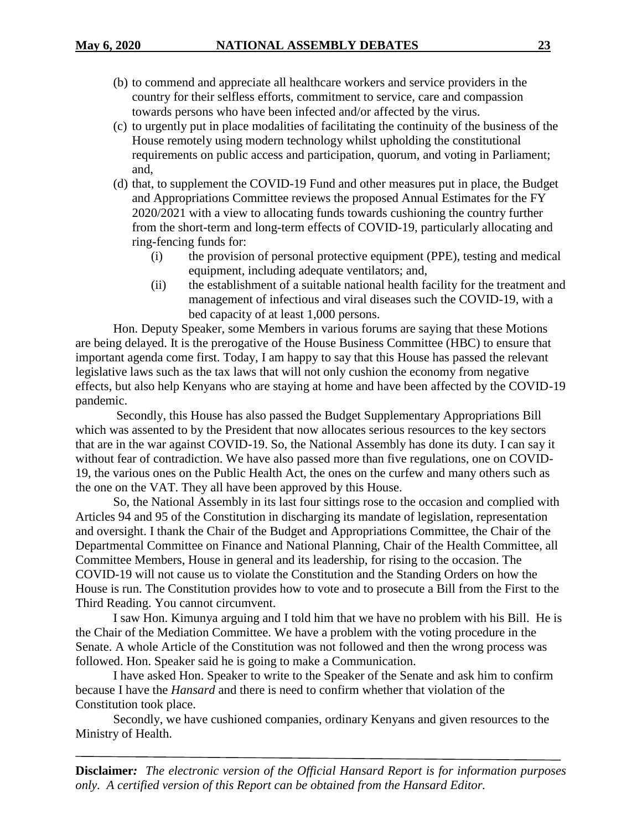- (b) to commend and appreciate all healthcare workers and service providers in the country for their selfless efforts, commitment to service, care and compassion towards persons who have been infected and/or affected by the virus.
- (c) to urgently put in place modalities of facilitating the continuity of the business of the House remotely using modern technology whilst upholding the constitutional requirements on public access and participation, quorum, and voting in Parliament; and,
- (d) that, to supplement the COVID-19 Fund and other measures put in place, the Budget and Appropriations Committee reviews the proposed Annual Estimates for the FY 2020/2021 with a view to allocating funds towards cushioning the country further from the short-term and long-term effects of COVID-19, particularly allocating and ring-fencing funds for:
	- (i) the provision of personal protective equipment (PPE), testing and medical equipment, including adequate ventilators; and,
	- (ii) the establishment of a suitable national health facility for the treatment and management of infectious and viral diseases such the COVID-19, with a bed capacity of at least 1,000 persons.

Hon. Deputy Speaker, some Members in various forums are saying that these Motions are being delayed. It is the prerogative of the House Business Committee (HBC) to ensure that important agenda come first. Today, I am happy to say that this House has passed the relevant legislative laws such as the tax laws that will not only cushion the economy from negative effects, but also help Kenyans who are staying at home and have been affected by the COVID-19 pandemic.

Secondly, this House has also passed the Budget Supplementary Appropriations Bill which was assented to by the President that now allocates serious resources to the key sectors that are in the war against COVID-19. So, the National Assembly has done its duty. I can say it without fear of contradiction. We have also passed more than five regulations, one on COVID-19, the various ones on the Public Health Act, the ones on the curfew and many others such as the one on the VAT. They all have been approved by this House.

So, the National Assembly in its last four sittings rose to the occasion and complied with Articles 94 and 95 of the Constitution in discharging its mandate of legislation, representation and oversight. I thank the Chair of the Budget and Appropriations Committee, the Chair of the Departmental Committee on Finance and National Planning, Chair of the Health Committee, all Committee Members, House in general and its leadership, for rising to the occasion. The COVID-19 will not cause us to violate the Constitution and the Standing Orders on how the House is run. The Constitution provides how to vote and to prosecute a Bill from the First to the Third Reading. You cannot circumvent.

I saw Hon. Kimunya arguing and I told him that we have no problem with his Bill. He is the Chair of the Mediation Committee. We have a problem with the voting procedure in the Senate. A whole Article of the Constitution was not followed and then the wrong process was followed. Hon. Speaker said he is going to make a Communication.

I have asked Hon. Speaker to write to the Speaker of the Senate and ask him to confirm because I have the *Hansard* and there is need to confirm whether that violation of the Constitution took place.

Secondly, we have cushioned companies, ordinary Kenyans and given resources to the Ministry of Health.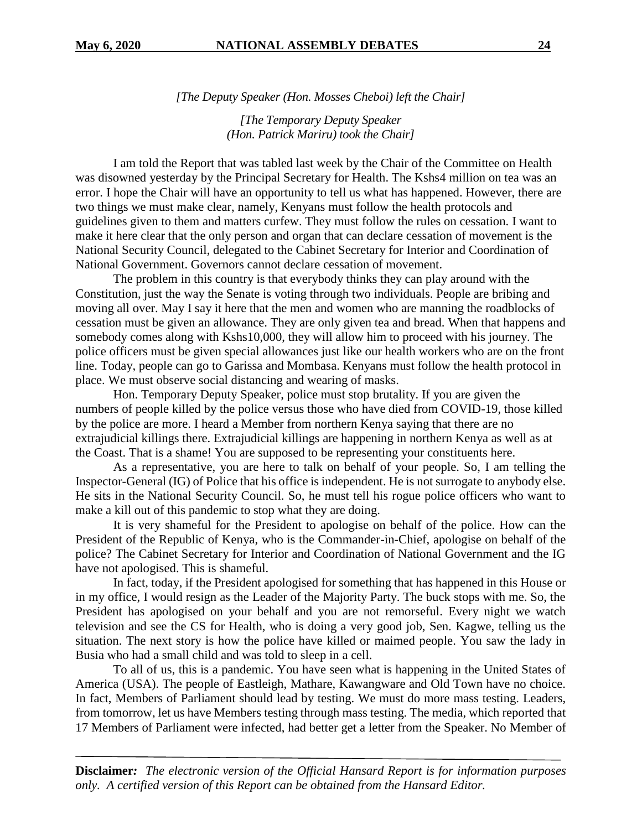*[The Deputy Speaker (Hon. Mosses Cheboi) left the Chair]*

*[The Temporary Deputy Speaker (Hon. Patrick Mariru) took the Chair]*

I am told the Report that was tabled last week by the Chair of the Committee on Health was disowned yesterday by the Principal Secretary for Health. The Kshs4 million on tea was an error. I hope the Chair will have an opportunity to tell us what has happened. However, there are two things we must make clear, namely, Kenyans must follow the health protocols and guidelines given to them and matters curfew. They must follow the rules on cessation. I want to make it here clear that the only person and organ that can declare cessation of movement is the National Security Council, delegated to the Cabinet Secretary for Interior and Coordination of National Government. Governors cannot declare cessation of movement.

The problem in this country is that everybody thinks they can play around with the Constitution, just the way the Senate is voting through two individuals. People are bribing and moving all over. May I say it here that the men and women who are manning the roadblocks of cessation must be given an allowance. They are only given tea and bread. When that happens and somebody comes along with Kshs10,000, they will allow him to proceed with his journey. The police officers must be given special allowances just like our health workers who are on the front line. Today, people can go to Garissa and Mombasa. Kenyans must follow the health protocol in place. We must observe social distancing and wearing of masks.

Hon. Temporary Deputy Speaker, police must stop brutality. If you are given the numbers of people killed by the police versus those who have died from COVID-19, those killed by the police are more. I heard a Member from northern Kenya saying that there are no extrajudicial killings there. Extrajudicial killings are happening in northern Kenya as well as at the Coast. That is a shame! You are supposed to be representing your constituents here.

As a representative, you are here to talk on behalf of your people. So, I am telling the Inspector-General (IG) of Police that his office is independent. He is not surrogate to anybody else. He sits in the National Security Council. So, he must tell his rogue police officers who want to make a kill out of this pandemic to stop what they are doing.

It is very shameful for the President to apologise on behalf of the police. How can the President of the Republic of Kenya, who is the Commander-in-Chief, apologise on behalf of the police? The Cabinet Secretary for Interior and Coordination of National Government and the IG have not apologised. This is shameful.

In fact, today, if the President apologised for something that has happened in this House or in my office, I would resign as the Leader of the Majority Party. The buck stops with me. So, the President has apologised on your behalf and you are not remorseful. Every night we watch television and see the CS for Health, who is doing a very good job, Sen. Kagwe, telling us the situation. The next story is how the police have killed or maimed people. You saw the lady in Busia who had a small child and was told to sleep in a cell.

To all of us, this is a pandemic. You have seen what is happening in the United States of America (USA). The people of Eastleigh, Mathare, Kawangware and Old Town have no choice. In fact, Members of Parliament should lead by testing. We must do more mass testing. Leaders, from tomorrow, let us have Members testing through mass testing. The media, which reported that 17 Members of Parliament were infected, had better get a letter from the Speaker. No Member of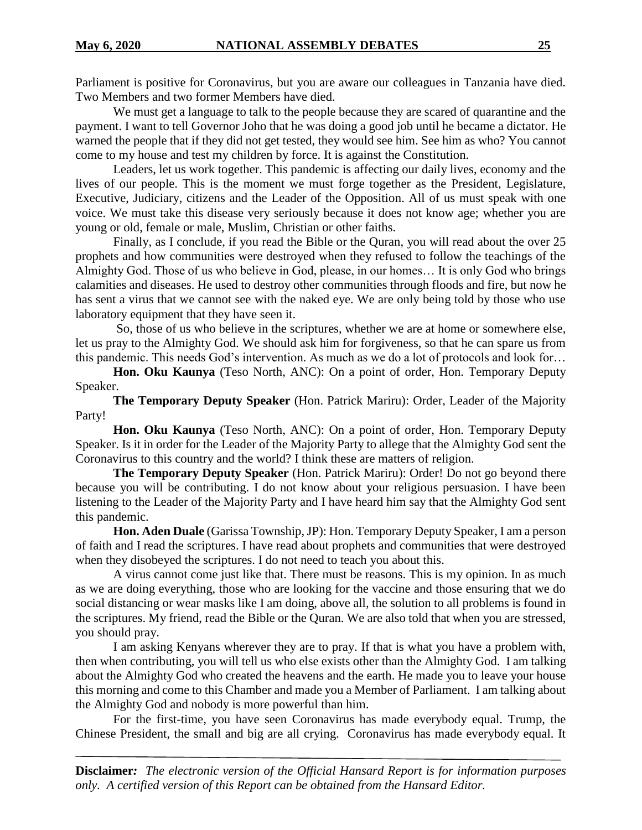Parliament is positive for Coronavirus, but you are aware our colleagues in Tanzania have died. Two Members and two former Members have died.

We must get a language to talk to the people because they are scared of quarantine and the payment. I want to tell Governor Joho that he was doing a good job until he became a dictator. He warned the people that if they did not get tested, they would see him. See him as who? You cannot come to my house and test my children by force. It is against the Constitution.

Leaders, let us work together. This pandemic is affecting our daily lives, economy and the lives of our people. This is the moment we must forge together as the President, Legislature, Executive, Judiciary, citizens and the Leader of the Opposition. All of us must speak with one voice. We must take this disease very seriously because it does not know age; whether you are young or old, female or male, Muslim, Christian or other faiths.

Finally, as I conclude, if you read the Bible or the Quran, you will read about the over 25 prophets and how communities were destroyed when they refused to follow the teachings of the Almighty God. Those of us who believe in God, please, in our homes… It is only God who brings calamities and diseases. He used to destroy other communities through floods and fire, but now he has sent a virus that we cannot see with the naked eye. We are only being told by those who use laboratory equipment that they have seen it.

So, those of us who believe in the scriptures, whether we are at home or somewhere else, let us pray to the Almighty God. We should ask him for forgiveness, so that he can spare us from this pandemic. This needs God's intervention. As much as we do a lot of protocols and look for…

**Hon. Oku Kaunya** (Teso North, ANC): On a point of order, Hon. Temporary Deputy Speaker.

**The Temporary Deputy Speaker** (Hon. Patrick Mariru): Order, Leader of the Majority Party!

**Hon. Oku Kaunya** (Teso North, ANC): On a point of order, Hon. Temporary Deputy Speaker. Is it in order for the Leader of the Majority Party to allege that the Almighty God sent the Coronavirus to this country and the world? I think these are matters of religion.

**The Temporary Deputy Speaker** (Hon. Patrick Mariru): Order! Do not go beyond there because you will be contributing. I do not know about your religious persuasion. I have been listening to the Leader of the Majority Party and I have heard him say that the Almighty God sent this pandemic.

**Hon. Aden Duale** (Garissa Township, JP): Hon. Temporary Deputy Speaker, I am a person of faith and I read the scriptures. I have read about prophets and communities that were destroyed when they disobeyed the scriptures. I do not need to teach you about this.

A virus cannot come just like that. There must be reasons. This is my opinion. In as much as we are doing everything, those who are looking for the vaccine and those ensuring that we do social distancing or wear masks like I am doing, above all, the solution to all problems is found in the scriptures. My friend, read the Bible or the Quran. We are also told that when you are stressed, you should pray.

I am asking Kenyans wherever they are to pray. If that is what you have a problem with, then when contributing, you will tell us who else exists other than the Almighty God. I am talking about the Almighty God who created the heavens and the earth. He made you to leave your house this morning and come to this Chamber and made you a Member of Parliament. I am talking about the Almighty God and nobody is more powerful than him.

For the first-time, you have seen Coronavirus has made everybody equal. Trump, the Chinese President, the small and big are all crying. Coronavirus has made everybody equal. It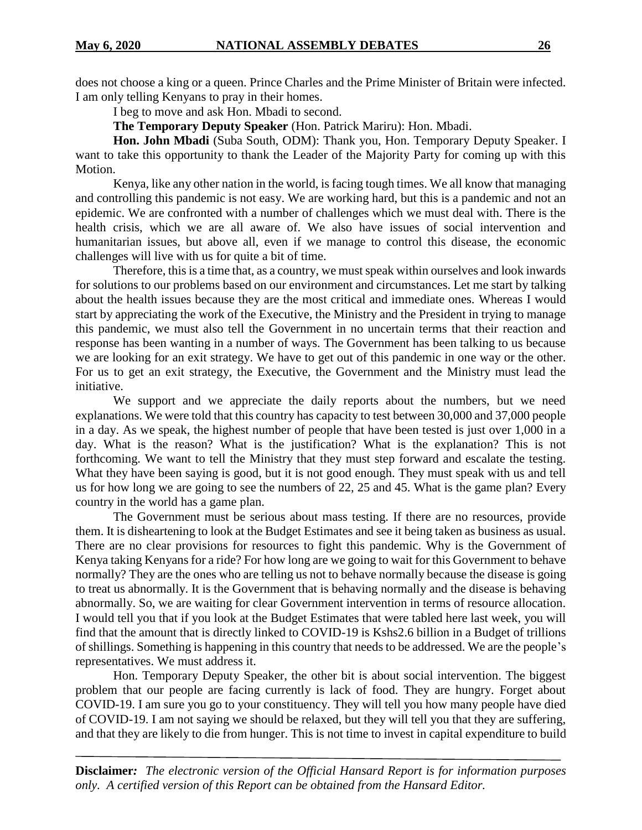does not choose a king or a queen. Prince Charles and the Prime Minister of Britain were infected. I am only telling Kenyans to pray in their homes.

I beg to move and ask Hon. Mbadi to second.

**The Temporary Deputy Speaker** (Hon. Patrick Mariru): Hon. Mbadi.

**Hon. John Mbadi** (Suba South, ODM): Thank you, Hon. Temporary Deputy Speaker. I want to take this opportunity to thank the Leader of the Majority Party for coming up with this Motion.

Kenya, like any other nation in the world, is facing tough times. We all know that managing and controlling this pandemic is not easy. We are working hard, but this is a pandemic and not an epidemic. We are confronted with a number of challenges which we must deal with. There is the health crisis, which we are all aware of. We also have issues of social intervention and humanitarian issues, but above all, even if we manage to control this disease, the economic challenges will live with us for quite a bit of time.

Therefore, this is a time that, as a country, we must speak within ourselves and look inwards for solutions to our problems based on our environment and circumstances. Let me start by talking about the health issues because they are the most critical and immediate ones. Whereas I would start by appreciating the work of the Executive, the Ministry and the President in trying to manage this pandemic, we must also tell the Government in no uncertain terms that their reaction and response has been wanting in a number of ways. The Government has been talking to us because we are looking for an exit strategy. We have to get out of this pandemic in one way or the other. For us to get an exit strategy, the Executive, the Government and the Ministry must lead the initiative.

We support and we appreciate the daily reports about the numbers, but we need explanations. We were told that this country has capacity to test between 30,000 and 37,000 people in a day. As we speak, the highest number of people that have been tested is just over 1,000 in a day. What is the reason? What is the justification? What is the explanation? This is not forthcoming. We want to tell the Ministry that they must step forward and escalate the testing. What they have been saying is good, but it is not good enough. They must speak with us and tell us for how long we are going to see the numbers of 22, 25 and 45. What is the game plan? Every country in the world has a game plan.

The Government must be serious about mass testing. If there are no resources, provide them. It is disheartening to look at the Budget Estimates and see it being taken as business as usual. There are no clear provisions for resources to fight this pandemic. Why is the Government of Kenya taking Kenyans for a ride? For how long are we going to wait for this Government to behave normally? They are the ones who are telling us not to behave normally because the disease is going to treat us abnormally. It is the Government that is behaving normally and the disease is behaving abnormally. So, we are waiting for clear Government intervention in terms of resource allocation. I would tell you that if you look at the Budget Estimates that were tabled here last week, you will find that the amount that is directly linked to COVID-19 is Kshs2.6 billion in a Budget of trillions of shillings. Something is happening in this country that needs to be addressed. We are the people's representatives. We must address it.

Hon. Temporary Deputy Speaker, the other bit is about social intervention. The biggest problem that our people are facing currently is lack of food. They are hungry. Forget about COVID-19. I am sure you go to your constituency. They will tell you how many people have died of COVID-19. I am not saying we should be relaxed, but they will tell you that they are suffering, and that they are likely to die from hunger. This is not time to invest in capital expenditure to build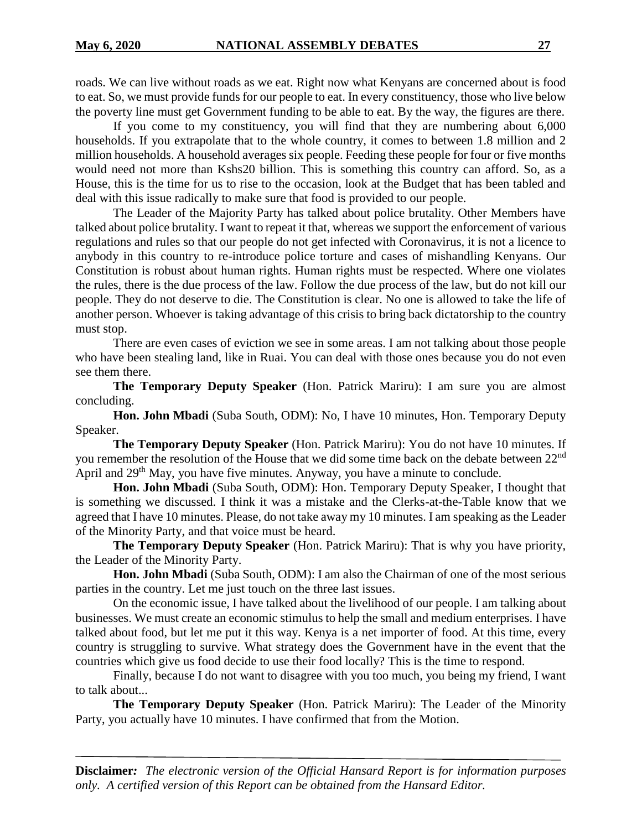roads. We can live without roads as we eat. Right now what Kenyans are concerned about is food to eat. So, we must provide funds for our people to eat. In every constituency, those who live below the poverty line must get Government funding to be able to eat. By the way, the figures are there.

If you come to my constituency, you will find that they are numbering about 6,000 households. If you extrapolate that to the whole country, it comes to between 1.8 million and 2 million households. A household averages six people. Feeding these people for four or five months would need not more than Kshs20 billion. This is something this country can afford. So, as a House, this is the time for us to rise to the occasion, look at the Budget that has been tabled and deal with this issue radically to make sure that food is provided to our people.

The Leader of the Majority Party has talked about police brutality. Other Members have talked about police brutality. I want to repeat it that, whereas we support the enforcement of various regulations and rules so that our people do not get infected with Coronavirus, it is not a licence to anybody in this country to re-introduce police torture and cases of mishandling Kenyans. Our Constitution is robust about human rights. Human rights must be respected. Where one violates the rules, there is the due process of the law. Follow the due process of the law, but do not kill our people. They do not deserve to die. The Constitution is clear. No one is allowed to take the life of another person. Whoever is taking advantage of this crisis to bring back dictatorship to the country must stop.

There are even cases of eviction we see in some areas. I am not talking about those people who have been stealing land, like in Ruai. You can deal with those ones because you do not even see them there.

**The Temporary Deputy Speaker** (Hon. Patrick Mariru): I am sure you are almost concluding.

**Hon. John Mbadi** (Suba South, ODM): No, I have 10 minutes, Hon. Temporary Deputy Speaker.

**The Temporary Deputy Speaker** (Hon. Patrick Mariru): You do not have 10 minutes. If you remember the resolution of the House that we did some time back on the debate between 22nd April and 29<sup>th</sup> May, you have five minutes. Anyway, you have a minute to conclude.

**Hon. John Mbadi** (Suba South, ODM): Hon. Temporary Deputy Speaker, I thought that is something we discussed. I think it was a mistake and the Clerks-at-the-Table know that we agreed that I have 10 minutes. Please, do not take away my 10 minutes. I am speaking as the Leader of the Minority Party, and that voice must be heard.

**The Temporary Deputy Speaker** (Hon. Patrick Mariru): That is why you have priority, the Leader of the Minority Party.

**Hon. John Mbadi** (Suba South, ODM): I am also the Chairman of one of the most serious parties in the country. Let me just touch on the three last issues.

On the economic issue, I have talked about the livelihood of our people. I am talking about businesses. We must create an economic stimulus to help the small and medium enterprises. I have talked about food, but let me put it this way. Kenya is a net importer of food. At this time, every country is struggling to survive. What strategy does the Government have in the event that the countries which give us food decide to use their food locally? This is the time to respond.

Finally, because I do not want to disagree with you too much, you being my friend, I want to talk about...

**The Temporary Deputy Speaker** (Hon. Patrick Mariru): The Leader of the Minority Party, you actually have 10 minutes. I have confirmed that from the Motion.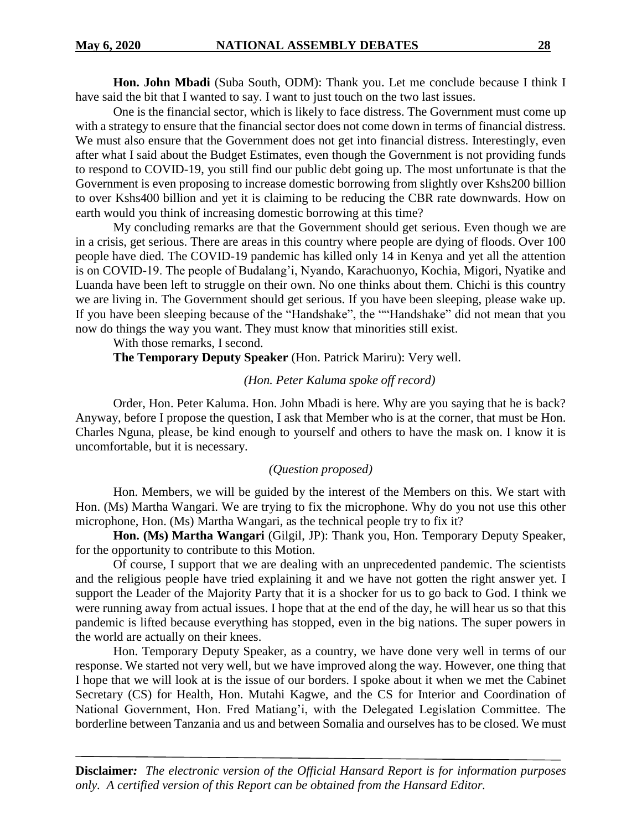**Hon. John Mbadi** (Suba South, ODM): Thank you. Let me conclude because I think I have said the bit that I wanted to say. I want to just touch on the two last issues.

One is the financial sector, which is likely to face distress. The Government must come up with a strategy to ensure that the financial sector does not come down in terms of financial distress. We must also ensure that the Government does not get into financial distress. Interestingly, even after what I said about the Budget Estimates, even though the Government is not providing funds to respond to COVID-19, you still find our public debt going up. The most unfortunate is that the Government is even proposing to increase domestic borrowing from slightly over Kshs200 billion to over Kshs400 billion and yet it is claiming to be reducing the CBR rate downwards. How on earth would you think of increasing domestic borrowing at this time?

My concluding remarks are that the Government should get serious. Even though we are in a crisis, get serious. There are areas in this country where people are dying of floods. Over 100 people have died. The COVID-19 pandemic has killed only 14 in Kenya and yet all the attention is on COVID-19. The people of Budalang'i, Nyando, Karachuonyo, Kochia, Migori, Nyatike and Luanda have been left to struggle on their own. No one thinks about them. Chichi is this country we are living in. The Government should get serious. If you have been sleeping, please wake up. If you have been sleeping because of the "Handshake", the ""Handshake" did not mean that you now do things the way you want. They must know that minorities still exist.

With those remarks, I second.

**The Temporary Deputy Speaker** (Hon. Patrick Mariru): Very well.

#### *(Hon. Peter Kaluma spoke off record)*

Order, Hon. Peter Kaluma. Hon. John Mbadi is here. Why are you saying that he is back? Anyway, before I propose the question, I ask that Member who is at the corner, that must be Hon. Charles Nguna, please, be kind enough to yourself and others to have the mask on. I know it is uncomfortable, but it is necessary.

#### *(Question proposed)*

Hon. Members, we will be guided by the interest of the Members on this. We start with Hon. (Ms) Martha Wangari. We are trying to fix the microphone. Why do you not use this other microphone, Hon. (Ms) Martha Wangari, as the technical people try to fix it?

**Hon. (Ms) Martha Wangari** (Gilgil, JP): Thank you, Hon. Temporary Deputy Speaker, for the opportunity to contribute to this Motion.

Of course, I support that we are dealing with an unprecedented pandemic. The scientists and the religious people have tried explaining it and we have not gotten the right answer yet. I support the Leader of the Majority Party that it is a shocker for us to go back to God. I think we were running away from actual issues. I hope that at the end of the day, he will hear us so that this pandemic is lifted because everything has stopped, even in the big nations. The super powers in the world are actually on their knees.

Hon. Temporary Deputy Speaker, as a country, we have done very well in terms of our response. We started not very well, but we have improved along the way. However, one thing that I hope that we will look at is the issue of our borders. I spoke about it when we met the Cabinet Secretary (CS) for Health, Hon. Mutahi Kagwe, and the CS for Interior and Coordination of National Government, Hon. Fred Matiang'i, with the Delegated Legislation Committee. The borderline between Tanzania and us and between Somalia and ourselves has to be closed. We must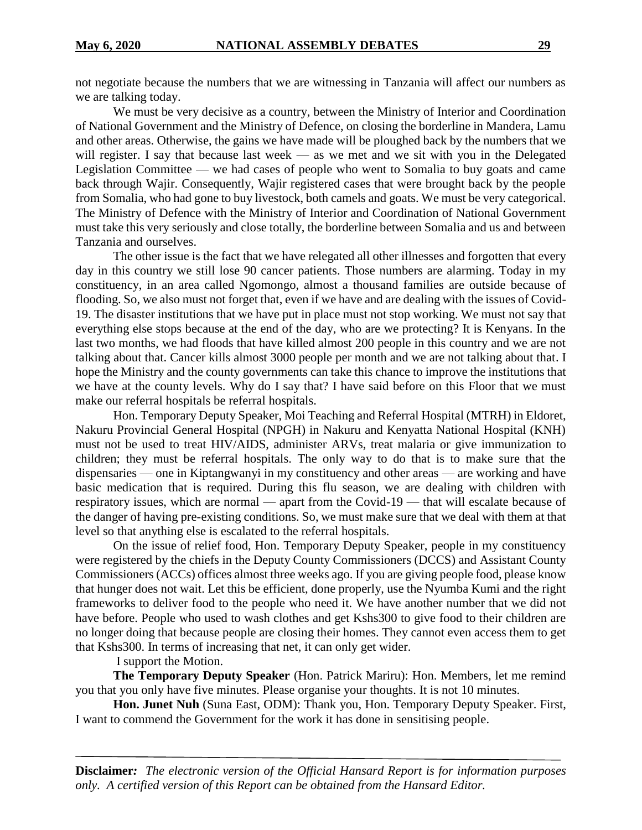not negotiate because the numbers that we are witnessing in Tanzania will affect our numbers as we are talking today.

We must be very decisive as a country, between the Ministry of Interior and Coordination of National Government and the Ministry of Defence, on closing the borderline in Mandera, Lamu and other areas. Otherwise, the gains we have made will be ploughed back by the numbers that we will register. I say that because last week — as we met and we sit with you in the Delegated Legislation Committee — we had cases of people who went to Somalia to buy goats and came back through Wajir. Consequently, Wajir registered cases that were brought back by the people from Somalia, who had gone to buy livestock, both camels and goats. We must be very categorical. The Ministry of Defence with the Ministry of Interior and Coordination of National Government must take this very seriously and close totally, the borderline between Somalia and us and between Tanzania and ourselves.

The other issue is the fact that we have relegated all other illnesses and forgotten that every day in this country we still lose 90 cancer patients. Those numbers are alarming. Today in my constituency, in an area called Ngomongo, almost a thousand families are outside because of flooding. So, we also must not forget that, even if we have and are dealing with the issues of Covid-19. The disaster institutions that we have put in place must not stop working. We must not say that everything else stops because at the end of the day, who are we protecting? It is Kenyans. In the last two months, we had floods that have killed almost 200 people in this country and we are not talking about that. Cancer kills almost 3000 people per month and we are not talking about that. I hope the Ministry and the county governments can take this chance to improve the institutions that we have at the county levels. Why do I say that? I have said before on this Floor that we must make our referral hospitals be referral hospitals.

Hon. Temporary Deputy Speaker, Moi Teaching and Referral Hospital (MTRH) in Eldoret, Nakuru Provincial General Hospital (NPGH) in Nakuru and Kenyatta National Hospital (KNH) must not be used to treat HIV/AIDS, administer ARVs, treat malaria or give immunization to children; they must be referral hospitals. The only way to do that is to make sure that the dispensaries — one in Kiptangwanyi in my constituency and other areas — are working and have basic medication that is required. During this flu season, we are dealing with children with respiratory issues, which are normal — apart from the Covid-19 — that will escalate because of the danger of having pre-existing conditions. So, we must make sure that we deal with them at that level so that anything else is escalated to the referral hospitals.

On the issue of relief food, Hon. Temporary Deputy Speaker, people in my constituency were registered by the chiefs in the Deputy County Commissioners (DCCS) and Assistant County Commissioners (ACCs) offices almost three weeks ago. If you are giving people food, please know that hunger does not wait. Let this be efficient, done properly, use the Nyumba Kumi and the right frameworks to deliver food to the people who need it. We have another number that we did not have before. People who used to wash clothes and get Kshs300 to give food to their children are no longer doing that because people are closing their homes. They cannot even access them to get that Kshs300. In terms of increasing that net, it can only get wider.

I support the Motion.

**The Temporary Deputy Speaker** (Hon. Patrick Mariru): Hon. Members, let me remind you that you only have five minutes. Please organise your thoughts. It is not 10 minutes.

**Hon. Junet Nuh** (Suna East, ODM): Thank you, Hon. Temporary Deputy Speaker. First, I want to commend the Government for the work it has done in sensitising people.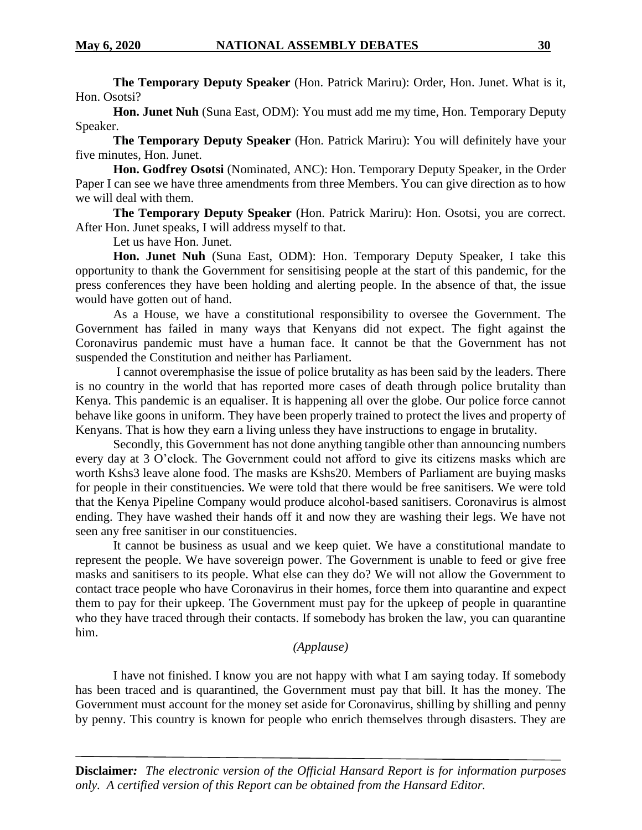**The Temporary Deputy Speaker** (Hon. Patrick Mariru): Order, Hon. Junet. What is it, Hon. Osotsi?

**Hon. Junet Nuh** (Suna East, ODM): You must add me my time, Hon. Temporary Deputy Speaker.

**The Temporary Deputy Speaker** (Hon. Patrick Mariru): You will definitely have your five minutes, Hon. Junet.

**Hon. Godfrey Osotsi** (Nominated, ANC): Hon. Temporary Deputy Speaker, in the Order Paper I can see we have three amendments from three Members. You can give direction as to how we will deal with them.

**The Temporary Deputy Speaker** (Hon. Patrick Mariru): Hon. Osotsi, you are correct. After Hon. Junet speaks, I will address myself to that.

Let us have Hon. Junet.

**Hon. Junet Nuh** (Suna East, ODM): Hon. Temporary Deputy Speaker, I take this opportunity to thank the Government for sensitising people at the start of this pandemic, for the press conferences they have been holding and alerting people. In the absence of that, the issue would have gotten out of hand.

As a House, we have a constitutional responsibility to oversee the Government. The Government has failed in many ways that Kenyans did not expect. The fight against the Coronavirus pandemic must have a human face. It cannot be that the Government has not suspended the Constitution and neither has Parliament.

I cannot overemphasise the issue of police brutality as has been said by the leaders. There is no country in the world that has reported more cases of death through police brutality than Kenya. This pandemic is an equaliser. It is happening all over the globe. Our police force cannot behave like goons in uniform. They have been properly trained to protect the lives and property of Kenyans. That is how they earn a living unless they have instructions to engage in brutality.

Secondly, this Government has not done anything tangible other than announcing numbers every day at 3 O'clock. The Government could not afford to give its citizens masks which are worth Kshs3 leave alone food. The masks are Kshs20. Members of Parliament are buying masks for people in their constituencies. We were told that there would be free sanitisers. We were told that the Kenya Pipeline Company would produce alcohol-based sanitisers. Coronavirus is almost ending. They have washed their hands off it and now they are washing their legs. We have not seen any free sanitiser in our constituencies.

It cannot be business as usual and we keep quiet. We have a constitutional mandate to represent the people. We have sovereign power. The Government is unable to feed or give free masks and sanitisers to its people. What else can they do? We will not allow the Government to contact trace people who have Coronavirus in their homes, force them into quarantine and expect them to pay for their upkeep. The Government must pay for the upkeep of people in quarantine who they have traced through their contacts. If somebody has broken the law, you can quarantine him.

#### *(Applause)*

I have not finished. I know you are not happy with what I am saying today. If somebody has been traced and is quarantined, the Government must pay that bill. It has the money. The Government must account for the money set aside for Coronavirus, shilling by shilling and penny by penny. This country is known for people who enrich themselves through disasters. They are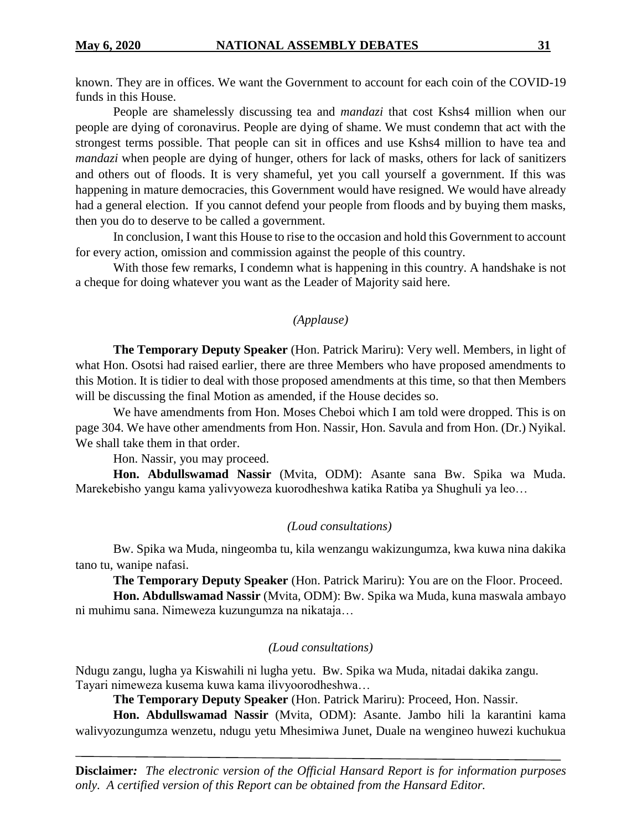known. They are in offices. We want the Government to account for each coin of the COVID-19 funds in this House.

People are shamelessly discussing tea and *mandazi* that cost Kshs4 million when our people are dying of coronavirus. People are dying of shame. We must condemn that act with the strongest terms possible. That people can sit in offices and use Kshs4 million to have tea and *mandazi* when people are dying of hunger, others for lack of masks, others for lack of sanitizers and others out of floods. It is very shameful, yet you call yourself a government. If this was happening in mature democracies, this Government would have resigned. We would have already had a general election. If you cannot defend your people from floods and by buying them masks, then you do to deserve to be called a government.

In conclusion, I want this House to rise to the occasion and hold this Government to account for every action, omission and commission against the people of this country.

With those few remarks, I condemn what is happening in this country. A handshake is not a cheque for doing whatever you want as the Leader of Majority said here.

#### *(Applause)*

**The Temporary Deputy Speaker** (Hon. Patrick Mariru): Very well. Members, in light of what Hon. Osotsi had raised earlier, there are three Members who have proposed amendments to this Motion. It is tidier to deal with those proposed amendments at this time, so that then Members will be discussing the final Motion as amended, if the House decides so.

We have amendments from Hon. Moses Cheboi which I am told were dropped. This is on page 304. We have other amendments from Hon. Nassir, Hon. Savula and from Hon. (Dr.) Nyikal. We shall take them in that order.

Hon. Nassir, you may proceed.

**Hon. Abdullswamad Nassir** (Mvita, ODM): Asante sana Bw. Spika wa Muda. Marekebisho yangu kama yalivyoweza kuorodheshwa katika Ratiba ya Shughuli ya leo…

#### *(Loud consultations)*

Bw. Spika wa Muda, ningeomba tu, kila wenzangu wakizungumza, kwa kuwa nina dakika tano tu, wanipe nafasi.

**The Temporary Deputy Speaker** (Hon. Patrick Mariru): You are on the Floor. Proceed.

**Hon. Abdullswamad Nassir** (Mvita, ODM): Bw. Spika wa Muda, kuna maswala ambayo ni muhimu sana. Nimeweza kuzungumza na nikataja…

#### *(Loud consultations)*

Ndugu zangu, lugha ya Kiswahili ni lugha yetu. Bw. Spika wa Muda, nitadai dakika zangu. Tayari nimeweza kusema kuwa kama ilivyoorodheshwa…

**The Temporary Deputy Speaker** (Hon. Patrick Mariru): Proceed, Hon. Nassir.

**Hon. Abdullswamad Nassir** (Mvita, ODM): Asante. Jambo hili la karantini kama walivyozungumza wenzetu, ndugu yetu Mhesimiwa Junet, Duale na wengineo huwezi kuchukua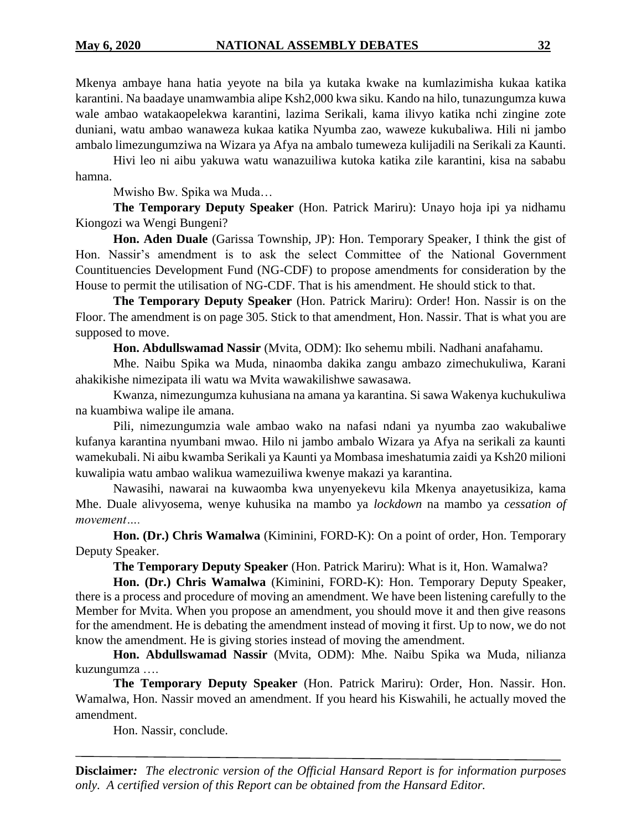Mkenya ambaye hana hatia yeyote na bila ya kutaka kwake na kumlazimisha kukaa katika karantini. Na baadaye unamwambia alipe Ksh2,000 kwa siku. Kando na hilo, tunazungumza kuwa wale ambao watakaopelekwa karantini, lazima Serikali, kama ilivyo katika nchi zingine zote duniani, watu ambao wanaweza kukaa katika Nyumba zao, waweze kukubaliwa. Hili ni jambo ambalo limezungumziwa na Wizara ya Afya na ambalo tumeweza kulijadili na Serikali za Kaunti.

Hivi leo ni aibu yakuwa watu wanazuiliwa kutoka katika zile karantini, kisa na sababu hamna.

Mwisho Bw. Spika wa Muda…

**The Temporary Deputy Speaker** (Hon. Patrick Mariru): Unayo hoja ipi ya nidhamu Kiongozi wa Wengi Bungeni?

**Hon. Aden Duale** (Garissa Township, JP): Hon. Temporary Speaker, I think the gist of Hon. Nassir's amendment is to ask the select Committee of the National Government Countituencies Development Fund (NG-CDF) to propose amendments for consideration by the House to permit the utilisation of NG-CDF. That is his amendment. He should stick to that.

**The Temporary Deputy Speaker** (Hon. Patrick Mariru): Order! Hon. Nassir is on the Floor. The amendment is on page 305. Stick to that amendment, Hon. Nassir. That is what you are supposed to move.

**Hon. Abdullswamad Nassir** (Mvita, ODM): Iko sehemu mbili. Nadhani anafahamu.

Mhe. Naibu Spika wa Muda, ninaomba dakika zangu ambazo zimechukuliwa, Karani ahakikishe nimezipata ili watu wa Mvita wawakilishwe sawasawa.

Kwanza, nimezungumza kuhusiana na amana ya karantina. Si sawa Wakenya kuchukuliwa na kuambiwa walipe ile amana.

Pili, nimezungumzia wale ambao wako na nafasi ndani ya nyumba zao wakubaliwe kufanya karantina nyumbani mwao. Hilo ni jambo ambalo Wizara ya Afya na serikali za kaunti wamekubali. Ni aibu kwamba Serikali ya Kaunti ya Mombasa imeshatumia zaidi ya Ksh20 milioni kuwalipia watu ambao walikua wamezuiliwa kwenye makazi ya karantina.

Nawasihi, nawarai na kuwaomba kwa unyenyekevu kila Mkenya anayetusikiza, kama Mhe. Duale alivyosema, wenye kuhusika na mambo ya *lockdown* na mambo ya *cessation of movement….*

**Hon. (Dr.) Chris Wamalwa** (Kiminini, FORD-K): On a point of order, Hon. Temporary Deputy Speaker.

**The Temporary Deputy Speaker** (Hon. Patrick Mariru): What is it, Hon. Wamalwa?

**Hon. (Dr.) Chris Wamalwa** (Kiminini, FORD-K): Hon. Temporary Deputy Speaker, there is a process and procedure of moving an amendment. We have been listening carefully to the Member for Mvita. When you propose an amendment, you should move it and then give reasons for the amendment. He is debating the amendment instead of moving it first. Up to now, we do not know the amendment. He is giving stories instead of moving the amendment.

**Hon. Abdullswamad Nassir** (Mvita, ODM): Mhe. Naibu Spika wa Muda, nilianza kuzungumza ….

**The Temporary Deputy Speaker** (Hon. Patrick Mariru): Order, Hon. Nassir. Hon. Wamalwa, Hon. Nassir moved an amendment. If you heard his Kiswahili, he actually moved the amendment.

Hon. Nassir, conclude.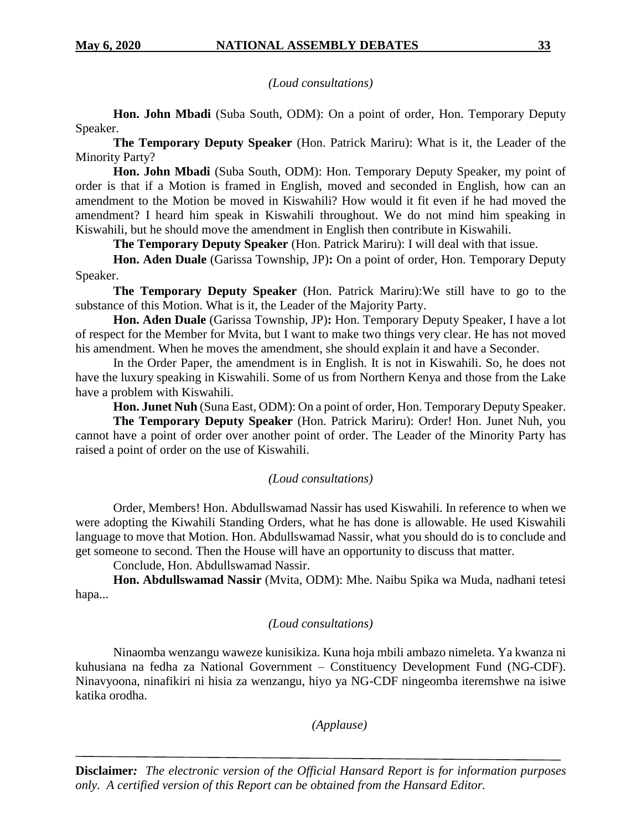*(Loud consultations)*

**Hon. John Mbadi** (Suba South, ODM): On a point of order, Hon. Temporary Deputy Speaker.

**The Temporary Deputy Speaker** (Hon. Patrick Mariru): What is it, the Leader of the Minority Party?

**Hon. John Mbadi** (Suba South, ODM): Hon. Temporary Deputy Speaker, my point of order is that if a Motion is framed in English, moved and seconded in English, how can an amendment to the Motion be moved in Kiswahili? How would it fit even if he had moved the amendment? I heard him speak in Kiswahili throughout. We do not mind him speaking in Kiswahili, but he should move the amendment in English then contribute in Kiswahili.

**The Temporary Deputy Speaker** (Hon. Patrick Mariru): I will deal with that issue.

**Hon. Aden Duale** (Garissa Township, JP)**:** On a point of order, Hon. Temporary Deputy Speaker.

**The Temporary Deputy Speaker** (Hon. Patrick Mariru):We still have to go to the substance of this Motion. What is it, the Leader of the Majority Party.

**Hon. Aden Duale** (Garissa Township, JP)**:** Hon. Temporary Deputy Speaker, I have a lot of respect for the Member for Mvita, but I want to make two things very clear. He has not moved his amendment. When he moves the amendment, she should explain it and have a Seconder.

In the Order Paper, the amendment is in English. It is not in Kiswahili. So, he does not have the luxury speaking in Kiswahili. Some of us from Northern Kenya and those from the Lake have a problem with Kiswahili.

**Hon. Junet Nuh** (Suna East, ODM): On a point of order, Hon. Temporary Deputy Speaker.

**The Temporary Deputy Speaker** (Hon. Patrick Mariru): Order! Hon. Junet Nuh, you cannot have a point of order over another point of order. The Leader of the Minority Party has raised a point of order on the use of Kiswahili.

#### *(Loud consultations)*

Order, Members! Hon. Abdullswamad Nassir has used Kiswahili. In reference to when we were adopting the Kiwahili Standing Orders, what he has done is allowable. He used Kiswahili language to move that Motion. Hon. Abdullswamad Nassir, what you should do is to conclude and get someone to second. Then the House will have an opportunity to discuss that matter.

Conclude, Hon. Abdullswamad Nassir.

**Hon. Abdullswamad Nassir** (Mvita, ODM): Mhe. Naibu Spika wa Muda, nadhani tetesi hapa...

#### *(Loud consultations)*

Ninaomba wenzangu waweze kunisikiza. Kuna hoja mbili ambazo nimeleta. Ya kwanza ni kuhusiana na fedha za National Government – Constituency Development Fund (NG-CDF). Ninavyoona, ninafikiri ni hisia za wenzangu, hiyo ya NG-CDF ningeomba iteremshwe na isiwe katika orodha.

*(Applause)*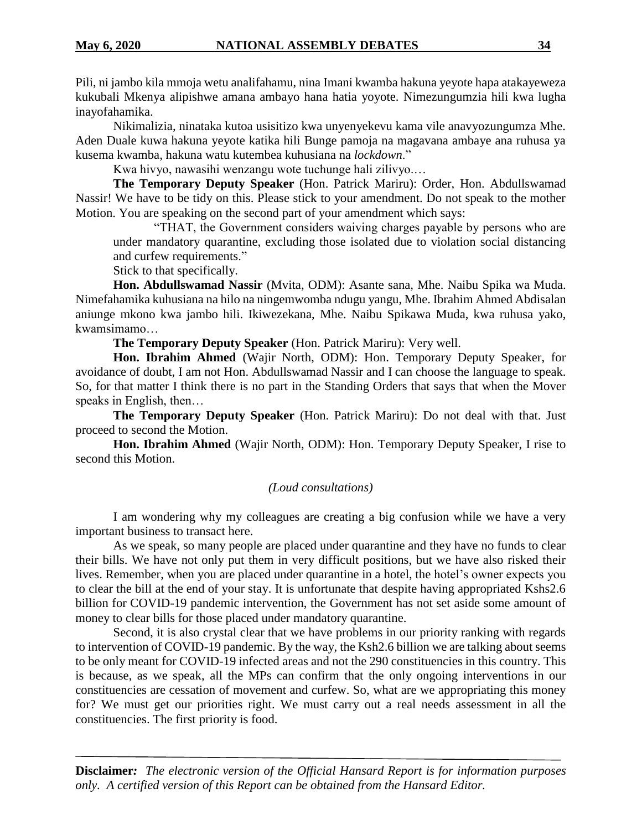Pili, ni jambo kila mmoja wetu analifahamu, nina Imani kwamba hakuna yeyote hapa atakayeweza kukubali Mkenya alipishwe amana ambayo hana hatia yoyote. Nimezungumzia hili kwa lugha inayofahamika.

Nikimalizia, ninataka kutoa usisitizo kwa unyenyekevu kama vile anavyozungumza Mhe. Aden Duale kuwa hakuna yeyote katika hili Bunge pamoja na magavana ambaye ana ruhusa ya kusema kwamba, hakuna watu kutembea kuhusiana na *lockdown*."

Kwa hivyo, nawasihi wenzangu wote tuchunge hali zilivyo.…

**The Temporary Deputy Speaker** (Hon. Patrick Mariru): Order, Hon. Abdullswamad Nassir! We have to be tidy on this. Please stick to your amendment. Do not speak to the mother Motion. You are speaking on the second part of your amendment which says:

"THAT, the Government considers waiving charges payable by persons who are under mandatory quarantine, excluding those isolated due to violation social distancing and curfew requirements."

Stick to that specifically.

**Hon. Abdullswamad Nassir** (Mvita, ODM): Asante sana, Mhe. Naibu Spika wa Muda. Nimefahamika kuhusiana na hilo na ningemwomba ndugu yangu, Mhe. Ibrahim Ahmed Abdisalan aniunge mkono kwa jambo hili. Ikiwezekana, Mhe. Naibu Spikawa Muda, kwa ruhusa yako, kwamsimamo…

**The Temporary Deputy Speaker** (Hon. Patrick Mariru): Very well.

**Hon. Ibrahim Ahmed** (Wajir North, ODM): Hon. Temporary Deputy Speaker, for avoidance of doubt, I am not Hon. Abdullswamad Nassir and I can choose the language to speak. So, for that matter I think there is no part in the Standing Orders that says that when the Mover speaks in English, then…

**The Temporary Deputy Speaker** (Hon. Patrick Mariru): Do not deal with that. Just proceed to second the Motion.

**Hon. Ibrahim Ahmed** (Wajir North, ODM): Hon. Temporary Deputy Speaker, I rise to second this Motion.

#### *(Loud consultations)*

I am wondering why my colleagues are creating a big confusion while we have a very important business to transact here.

As we speak, so many people are placed under quarantine and they have no funds to clear their bills. We have not only put them in very difficult positions, but we have also risked their lives. Remember, when you are placed under quarantine in a hotel, the hotel's owner expects you to clear the bill at the end of your stay. It is unfortunate that despite having appropriated Kshs2.6 billion for COVID-19 pandemic intervention, the Government has not set aside some amount of money to clear bills for those placed under mandatory quarantine.

Second, it is also crystal clear that we have problems in our priority ranking with regards to intervention of COVID-19 pandemic. By the way, the Ksh2.6 billion we are talking about seems to be only meant for COVID-19 infected areas and not the 290 constituencies in this country. This is because, as we speak, all the MPs can confirm that the only ongoing interventions in our constituencies are cessation of movement and curfew. So, what are we appropriating this money for? We must get our priorities right. We must carry out a real needs assessment in all the constituencies. The first priority is food.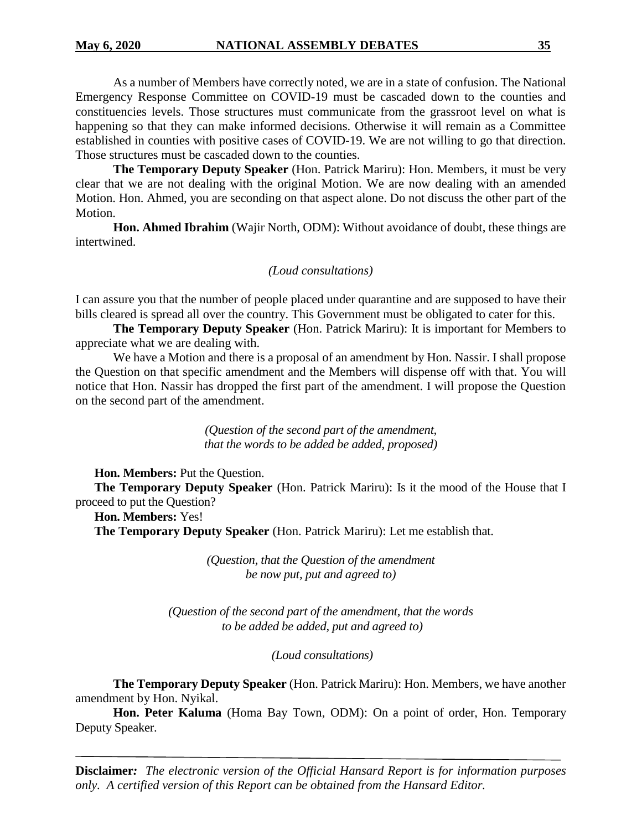As a number of Members have correctly noted, we are in a state of confusion. The National Emergency Response Committee on COVID-19 must be cascaded down to the counties and constituencies levels. Those structures must communicate from the grassroot level on what is happening so that they can make informed decisions. Otherwise it will remain as a Committee established in counties with positive cases of COVID-19. We are not willing to go that direction. Those structures must be cascaded down to the counties.

**The Temporary Deputy Speaker** (Hon. Patrick Mariru): Hon. Members, it must be very clear that we are not dealing with the original Motion. We are now dealing with an amended Motion. Hon. Ahmed, you are seconding on that aspect alone. Do not discuss the other part of the Motion.

**Hon. Ahmed Ibrahim** (Wajir North, ODM): Without avoidance of doubt, these things are intertwined.

#### *(Loud consultations)*

I can assure you that the number of people placed under quarantine and are supposed to have their bills cleared is spread all over the country. This Government must be obligated to cater for this.

**The Temporary Deputy Speaker** (Hon. Patrick Mariru): It is important for Members to appreciate what we are dealing with.

We have a Motion and there is a proposal of an amendment by Hon. Nassir. I shall propose the Question on that specific amendment and the Members will dispense off with that. You will notice that Hon. Nassir has dropped the first part of the amendment. I will propose the Question on the second part of the amendment.

> *(Question of the second part of the amendment, that the words to be added be added, proposed)*

**Hon. Members:** Put the Question.

**The Temporary Deputy Speaker** (Hon. Patrick Mariru): Is it the mood of the House that I proceed to put the Question?

**Hon. Members:** Yes!

**The Temporary Deputy Speaker** (Hon. Patrick Mariru): Let me establish that.

*(Question, that the Question of the amendment be now put, put and agreed to)*

*(Question of the second part of the amendment, that the words to be added be added, put and agreed to)*

*(Loud consultations)*

**The Temporary Deputy Speaker** (Hon. Patrick Mariru): Hon. Members, we have another amendment by Hon. Nyikal.

**Hon. Peter Kaluma** (Homa Bay Town, ODM): On a point of order, Hon. Temporary Deputy Speaker.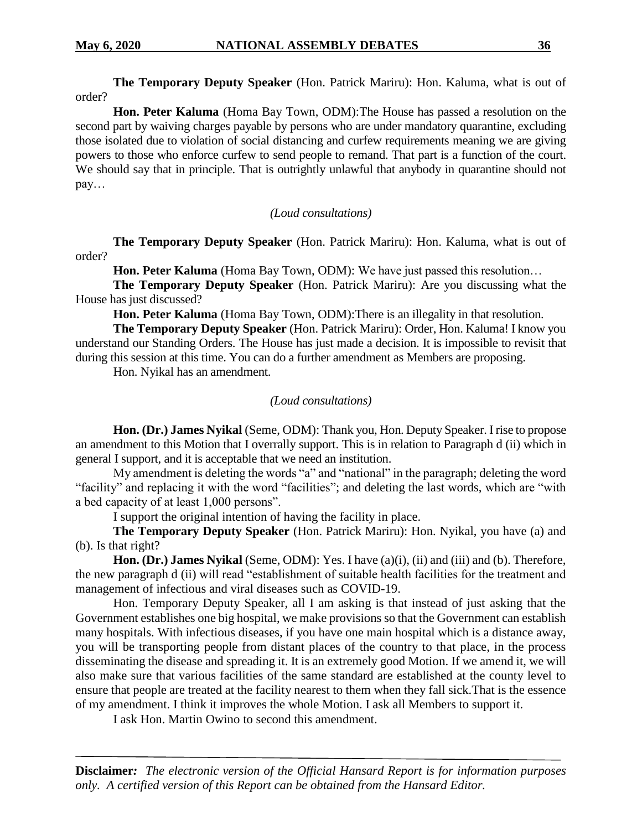**The Temporary Deputy Speaker** (Hon. Patrick Mariru): Hon. Kaluma, what is out of order?

**Hon. Peter Kaluma** (Homa Bay Town, ODM):The House has passed a resolution on the second part by waiving charges payable by persons who are under mandatory quarantine, excluding those isolated due to violation of social distancing and curfew requirements meaning we are giving powers to those who enforce curfew to send people to remand. That part is a function of the court. We should say that in principle. That is outrightly unlawful that anybody in quarantine should not pay…

*(Loud consultations)*

**The Temporary Deputy Speaker** (Hon. Patrick Mariru): Hon. Kaluma, what is out of order?

**Hon. Peter Kaluma** (Homa Bay Town, ODM): We have just passed this resolution…

**The Temporary Deputy Speaker** (Hon. Patrick Mariru): Are you discussing what the House has just discussed?

**Hon. Peter Kaluma** (Homa Bay Town, ODM):There is an illegality in that resolution.

**The Temporary Deputy Speaker** (Hon. Patrick Mariru): Order, Hon. Kaluma! I know you understand our Standing Orders. The House has just made a decision. It is impossible to revisit that during this session at this time. You can do a further amendment as Members are proposing.

Hon. Nyikal has an amendment.

#### *(Loud consultations)*

**Hon. (Dr.) James Nyikal** (Seme, ODM): Thank you, Hon. Deputy Speaker. I rise to propose an amendment to this Motion that I overrally support. This is in relation to Paragraph d (ii) which in general I support, and it is acceptable that we need an institution.

My amendment is deleting the words "a" and "national" in the paragraph; deleting the word "facility" and replacing it with the word "facilities"; and deleting the last words, which are "with a bed capacity of at least 1,000 persons".

I support the original intention of having the facility in place.

**The Temporary Deputy Speaker** (Hon. Patrick Mariru): Hon. Nyikal, you have (a) and (b). Is that right?

**Hon. (Dr.) James Nyikal** (Seme, ODM): Yes. I have (a)(i), (ii) and (iii) and (b). Therefore, the new paragraph d (ii) will read "establishment of suitable health facilities for the treatment and management of infectious and viral diseases such as COVID-19.

Hon. Temporary Deputy Speaker, all I am asking is that instead of just asking that the Government establishes one big hospital, we make provisions so that the Government can establish many hospitals. With infectious diseases, if you have one main hospital which is a distance away, you will be transporting people from distant places of the country to that place, in the process disseminating the disease and spreading it. It is an extremely good Motion. If we amend it, we will also make sure that various facilities of the same standard are established at the county level to ensure that people are treated at the facility nearest to them when they fall sick.That is the essence of my amendment. I think it improves the whole Motion. I ask all Members to support it.

I ask Hon. Martin Owino to second this amendment.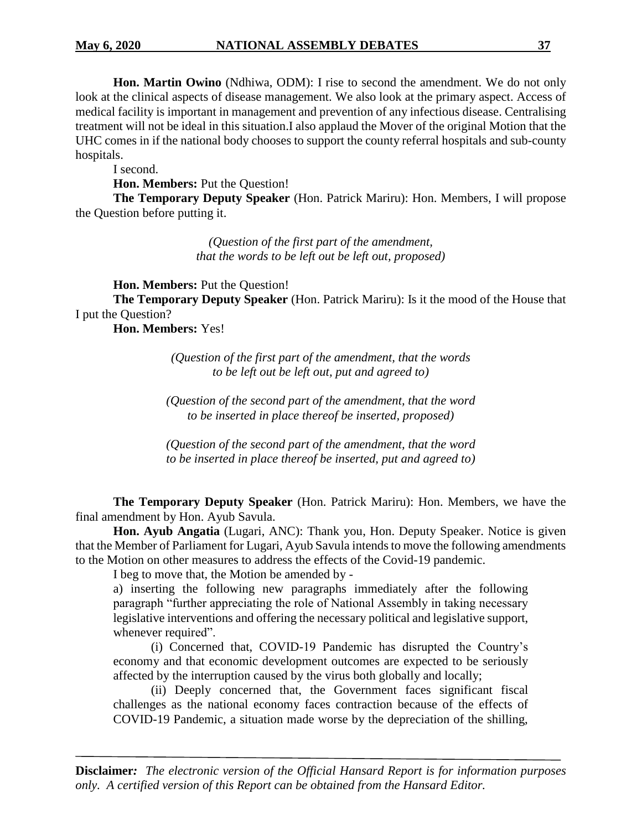**Hon. Martin Owino** (Ndhiwa, ODM): I rise to second the amendment. We do not only look at the clinical aspects of disease management. We also look at the primary aspect. Access of medical facility is important in management and prevention of any infectious disease. Centralising treatment will not be ideal in this situation.I also applaud the Mover of the original Motion that the UHC comes in if the national body chooses to support the county referral hospitals and sub-county hospitals.

I second.

**Hon. Members:** Put the Question!

**The Temporary Deputy Speaker** (Hon. Patrick Mariru): Hon. Members, I will propose the Question before putting it.

> *(Question of the first part of the amendment, that the words to be left out be left out, proposed)*

**Hon. Members:** Put the Question!

**The Temporary Deputy Speaker** (Hon. Patrick Mariru): Is it the mood of the House that I put the Question?

**Hon. Members:** Yes!

*(Question of the first part of the amendment, that the words to be left out be left out, put and agreed to)*

*(Question of the second part of the amendment, that the word to be inserted in place thereof be inserted, proposed)*

*(Question of the second part of the amendment, that the word to be inserted in place thereof be inserted, put and agreed to)*

**The Temporary Deputy Speaker** (Hon. Patrick Mariru): Hon. Members, we have the final amendment by Hon. Ayub Savula.

**Hon. Ayub Angatia** (Lugari, ANC): Thank you, Hon. Deputy Speaker. Notice is given that the Member of Parliament for Lugari, Ayub Savula intends to move the following amendments to the Motion on other measures to address the effects of the Covid-19 pandemic.

I beg to move that, the Motion be amended by -

a) inserting the following new paragraphs immediately after the following paragraph "further appreciating the role of National Assembly in taking necessary legislative interventions and offering the necessary political and legislative support, whenever required".

(i) Concerned that, COVID-19 Pandemic has disrupted the Country's economy and that economic development outcomes are expected to be seriously affected by the interruption caused by the virus both globally and locally;

(ii) Deeply concerned that, the Government faces significant fiscal challenges as the national economy faces contraction because of the effects of COVID-19 Pandemic, a situation made worse by the depreciation of the shilling,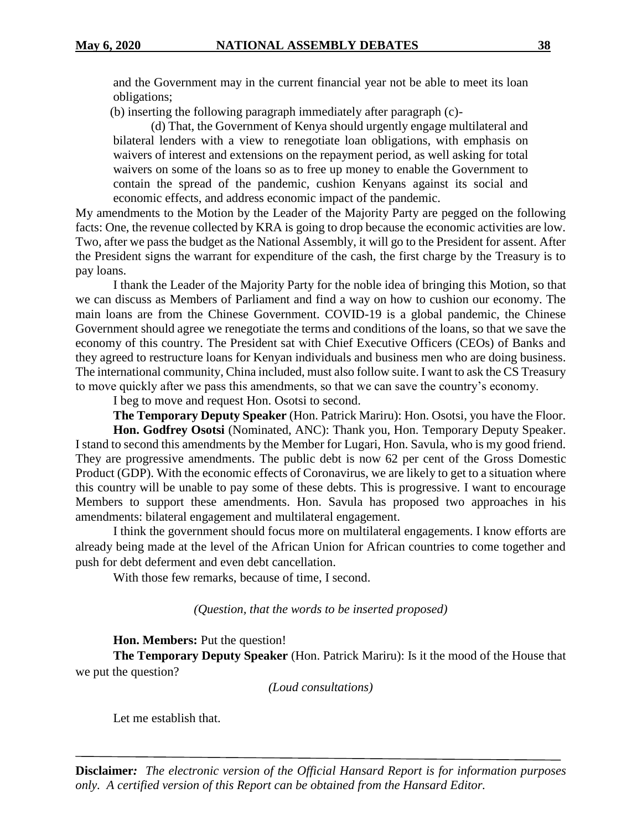and the Government may in the current financial year not be able to meet its loan obligations;

(b) inserting the following paragraph immediately after paragraph (c)-

(d) That, the Government of Kenya should urgently engage multilateral and bilateral lenders with a view to renegotiate loan obligations, with emphasis on waivers of interest and extensions on the repayment period, as well asking for total waivers on some of the loans so as to free up money to enable the Government to contain the spread of the pandemic, cushion Kenyans against its social and economic effects, and address economic impact of the pandemic.

My amendments to the Motion by the Leader of the Majority Party are pegged on the following facts: One, the revenue collected by KRA is going to drop because the economic activities are low. Two, after we pass the budget as the National Assembly, it will go to the President for assent. After the President signs the warrant for expenditure of the cash, the first charge by the Treasury is to pay loans.

I thank the Leader of the Majority Party for the noble idea of bringing this Motion, so that we can discuss as Members of Parliament and find a way on how to cushion our economy. The main loans are from the Chinese Government. COVID-19 is a global pandemic, the Chinese Government should agree we renegotiate the terms and conditions of the loans, so that we save the economy of this country. The President sat with Chief Executive Officers (CEOs) of Banks and they agreed to restructure loans for Kenyan individuals and business men who are doing business. The international community, China included, must also follow suite. I want to ask the CS Treasury to move quickly after we pass this amendments, so that we can save the country's economy.

I beg to move and request Hon. Osotsi to second.

**The Temporary Deputy Speaker** (Hon. Patrick Mariru): Hon. Osotsi, you have the Floor. **Hon. Godfrey Osotsi** (Nominated, ANC): Thank you, Hon. Temporary Deputy Speaker. I stand to second this amendments by the Member for Lugari, Hon. Savula, who is my good friend. They are progressive amendments. The public debt is now 62 per cent of the Gross Domestic Product (GDP). With the economic effects of Coronavirus, we are likely to get to a situation where this country will be unable to pay some of these debts. This is progressive. I want to encourage Members to support these amendments. Hon. Savula has proposed two approaches in his amendments: bilateral engagement and multilateral engagement.

I think the government should focus more on multilateral engagements. I know efforts are already being made at the level of the African Union for African countries to come together and push for debt deferment and even debt cancellation.

With those few remarks, because of time, I second.

*(Question, that the words to be inserted proposed)*

**Hon. Members:** Put the question!

**The Temporary Deputy Speaker** (Hon. Patrick Mariru): Is it the mood of the House that we put the question?

*(Loud consultations)*

Let me establish that.